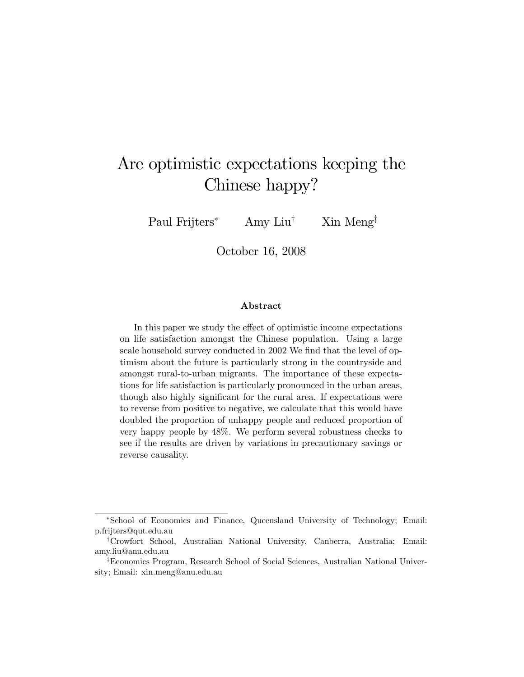# Are optimistic expectations keeping the Chinese happy?

Paul Frijters\* Amy Liu<sup>†</sup> Xin Meng<sup>‡</sup>

October 16, 2008

#### Abstract

In this paper we study the effect of optimistic income expectations on life satisfaction amongst the Chinese population. Using a large scale household survey conducted in 2002 We find that the level of optimism about the future is particularly strong in the countryside and amongst rural-to-urban migrants. The importance of these expectations for life satisfaction is particularly pronounced in the urban areas, though also highly significant for the rural area. If expectations were to reverse from positive to negative, we calculate that this would have doubled the proportion of unhappy people and reduced proportion of very happy people by 48%. We perform several robustness checks to see if the results are driven by variations in precautionary savings or reverse causality.

School of Economics and Finance, Queensland University of Technology; Email: p.frijters@qut.edu.au

<sup>&</sup>lt;sup>†</sup>Crowfort School, Australian National University, Canberra, Australia; Email: amy.liu@anu.edu.au

<sup>&</sup>lt;sup>‡</sup>Economics Program, Research School of Social Sciences, Australian National University; Email: xin.meng@anu.edu.au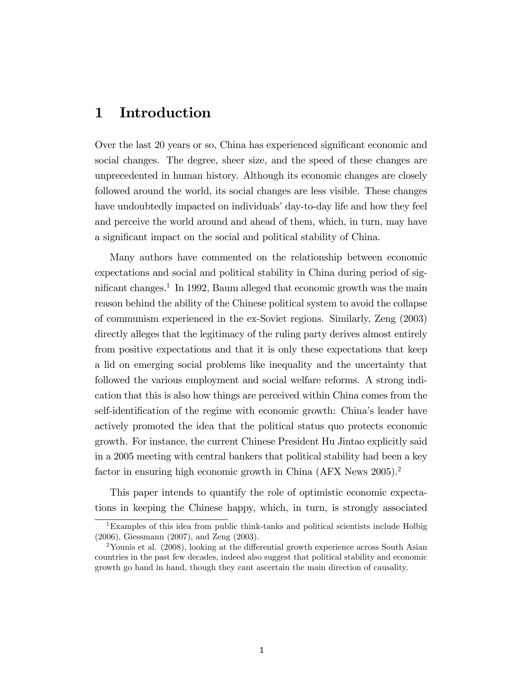### 1 Introduction

Over the last 20 years or so, China has experienced significant economic and social changes. The degree, sheer size, and the speed of these changes are unprecedented in human history. Although its economic changes are closely followed around the world, its social changes are less visible. These changes have undoubtedly impacted on individuals' day-to-day life and how they feel and perceive the world around and ahead of them, which, in turn, may have a significant impact on the social and political stability of China.

Many authors have commented on the relationship between economic expectations and social and political stability in China during period of significant changes.<sup>1</sup> In 1992, Baum alleged that economic growth was the main reason behind the ability of the Chinese political system to avoid the collapse of communism experienced in the ex-Soviet regions. Similarly, Zeng (2003) directly alleges that the legitimacy of the ruling party derives almost entirely from positive expectations and that it is only these expectations that keep a lid on emerging social problems like inequality and the uncertainty that followed the various employment and social welfare reforms. A strong indication that this is also how things are perceived within China comes from the self-identification of the regime with economic growth: China's leader have actively promoted the idea that the political status quo protects economic growth. For instance, the current Chinese President Hu Jintao explicitly said in a 2005 meeting with central bankers that political stability had been a key factor in ensuring high economic growth in China (AFX News 2005).<sup>2</sup>

This paper intends to quantify the role of optimistic economic expectations in keeping the Chinese happy, which, in turn, is strongly associated

<sup>1</sup>Examples of this idea from public think-tanks and political scientists include Holbig (2006), Giessmann (2007), and Zeng (2003).

<sup>&</sup>lt;sup>2</sup>Younis et al. (2008), looking at the differential growth experience across South Asian countries in the past few decades, indeed also suggest that political stability and economic growth go hand in hand, though they cant ascertain the main direction of causality.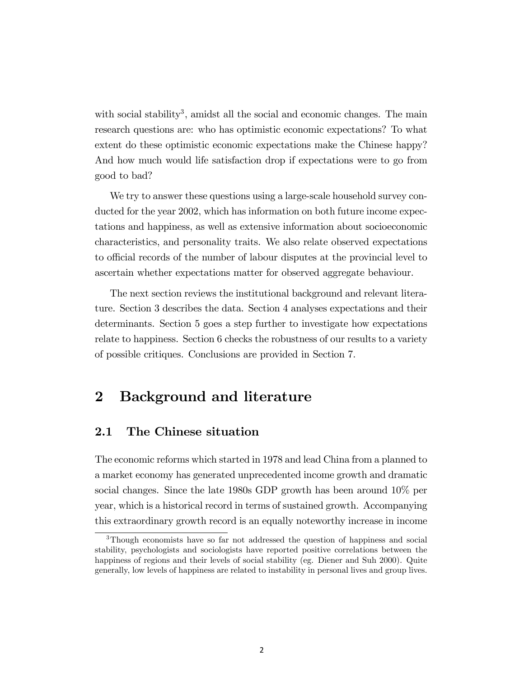with social stability<sup>3</sup>, amidst all the social and economic changes. The main research questions are: who has optimistic economic expectations? To what extent do these optimistic economic expectations make the Chinese happy? And how much would life satisfaction drop if expectations were to go from good to bad?

We try to answer these questions using a large-scale household survey conducted for the year 2002, which has information on both future income expectations and happiness, as well as extensive information about socioeconomic characteristics, and personality traits. We also relate observed expectations to official records of the number of labour disputes at the provincial level to ascertain whether expectations matter for observed aggregate behaviour.

The next section reviews the institutional background and relevant literature. Section 3 describes the data. Section 4 analyses expectations and their determinants. Section 5 goes a step further to investigate how expectations relate to happiness. Section 6 checks the robustness of our results to a variety of possible critiques. Conclusions are provided in Section 7.

### 2 Background and literature

#### 2.1 The Chinese situation

The economic reforms which started in 1978 and lead China from a planned to a market economy has generated unprecedented income growth and dramatic social changes. Since the late 1980s GDP growth has been around 10% per year, which is a historical record in terms of sustained growth. Accompanying this extraordinary growth record is an equally noteworthy increase in income

<sup>3</sup>Though economists have so far not addressed the question of happiness and social stability, psychologists and sociologists have reported positive correlations between the happiness of regions and their levels of social stability (eg. Diener and Suh 2000). Quite generally, low levels of happiness are related to instability in personal lives and group lives.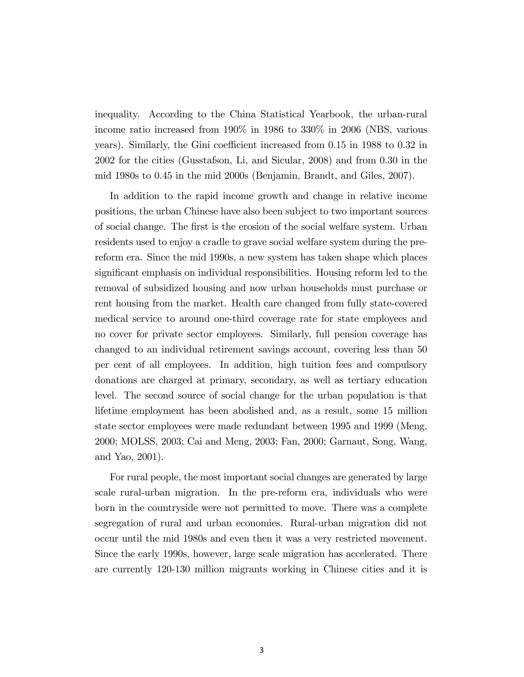inequality. According to the China Statistical Yearbook, the urban-rural income ratio increased from 190% in 1986 to 330% in 2006 (NBS, various years). Similarly, the Gini coefficient increased from  $0.15$  in  $1988$  to  $0.32$  in 2002 for the cities (Gusstafson, Li, and Sicular, 2008) and from 0.30 in the mid 1980s to 0.45 in the mid 2000s (Benjamin, Brandt, and Giles, 2007).

In addition to the rapid income growth and change in relative income positions, the urban Chinese have also been subject to two important sources of social change. The first is the erosion of the social welfare system. Urban residents used to enjoy a cradle to grave social welfare system during the prereform era. Since the mid 1990s, a new system has taken shape which places significant emphasis on individual responsibilities. Housing reform led to the removal of subsidized housing and now urban households must purchase or rent housing from the market. Health care changed from fully state-covered medical service to around one-third coverage rate for state employees and no cover for private sector employees. Similarly, full pension coverage has changed to an individual retirement savings account, covering less than 50 per cent of all employees. In addition, high tuition fees and compulsory donations are charged at primary, secondary, as well as tertiary education level. The second source of social change for the urban population is that lifetime employment has been abolished and, as a result, some 15 million state sector employees were made redundant between 1995 and 1999 (Meng, 2000; MOLSS, 2003; Cai and Meng, 2003; Fan, 2000; Garnaut, Song, Wang, and Yao, 2001).

For rural people, the most important social changes are generated by large scale rural-urban migration. In the pre-reform era, individuals who were born in the countryside were not permitted to move. There was a complete segregation of rural and urban economies. Rural-urban migration did not occur until the mid 1980s and even then it was a very restricted movement. Since the early 1990s, however, large scale migration has accelerated. There are currently 120-130 million migrants working in Chinese cities and it is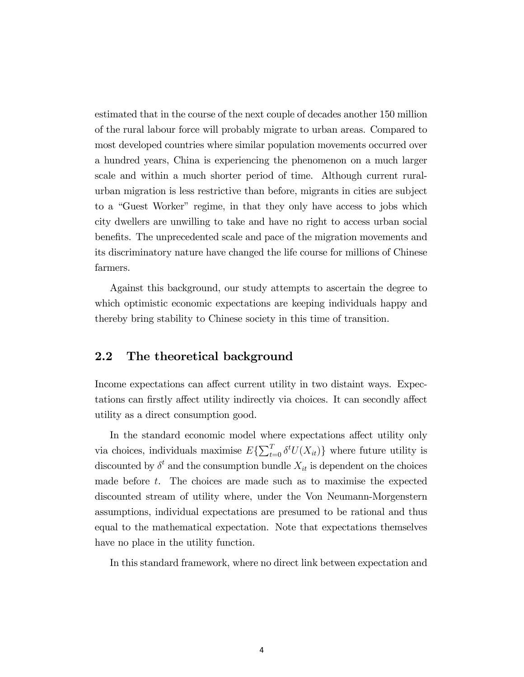estimated that in the course of the next couple of decades another 150 million of the rural labour force will probably migrate to urban areas. Compared to most developed countries where similar population movements occurred over a hundred years, China is experiencing the phenomenon on a much larger scale and within a much shorter period of time. Although current ruralurban migration is less restrictive than before, migrants in cities are subject to a "Guest Worker" regime, in that they only have access to jobs which city dwellers are unwilling to take and have no right to access urban social benefits. The unprecedented scale and pace of the migration movements and its discriminatory nature have changed the life course for millions of Chinese farmers.

Against this background, our study attempts to ascertain the degree to which optimistic economic expectations are keeping individuals happy and thereby bring stability to Chinese society in this time of transition.

### 2.2 The theoretical background

Income expectations can affect current utility in two distaint ways. Expectations can firstly affect utility indirectly via choices. It can secondly affect utility as a direct consumption good.

In the standard economic model where expectations affect utility only via choices, individuals maximise  $E\{\sum_{t=0}^{T} \delta^t U(X_{it})\}$  where future utility is discounted by  $\delta^t$  and the consumption bundle  $X_{it}$  is dependent on the choices made before t. The choices are made such as to maximise the expected discounted stream of utility where, under the Von Neumann-Morgenstern assumptions, individual expectations are presumed to be rational and thus equal to the mathematical expectation. Note that expectations themselves have no place in the utility function.

In this standard framework, where no direct link between expectation and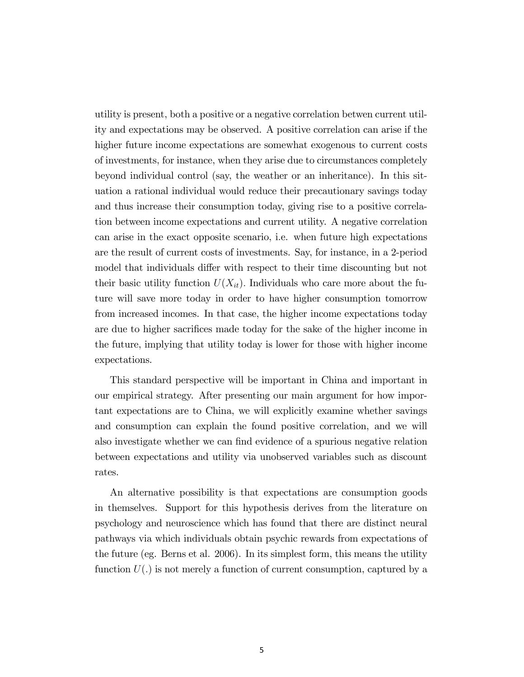utility is present, both a positive or a negative correlation betwen current utility and expectations may be observed. A positive correlation can arise if the higher future income expectations are somewhat exogenous to current costs of investments, for instance, when they arise due to circumstances completely beyond individual control (say, the weather or an inheritance). In this situation a rational individual would reduce their precautionary savings today and thus increase their consumption today, giving rise to a positive correlation between income expectations and current utility. A negative correlation can arise in the exact opposite scenario, i.e. when future high expectations are the result of current costs of investments. Say, for instance, in a 2-period model that individuals differ with respect to their time discounting but not their basic utility function  $U(X_{it})$ . Individuals who care more about the future will save more today in order to have higher consumption tomorrow from increased incomes. In that case, the higher income expectations today are due to higher sacrifices made today for the sake of the higher income in the future, implying that utility today is lower for those with higher income expectations.

This standard perspective will be important in China and important in our empirical strategy. After presenting our main argument for how important expectations are to China, we will explicitly examine whether savings and consumption can explain the found positive correlation, and we will also investigate whether we can find evidence of a spurious negative relation between expectations and utility via unobserved variables such as discount rates.

An alternative possibility is that expectations are consumption goods in themselves. Support for this hypothesis derives from the literature on psychology and neuroscience which has found that there are distinct neural pathways via which individuals obtain psychic rewards from expectations of the future (eg. Berns et al. 2006). In its simplest form, this means the utility function  $U(.)$  is not merely a function of current consumption, captured by a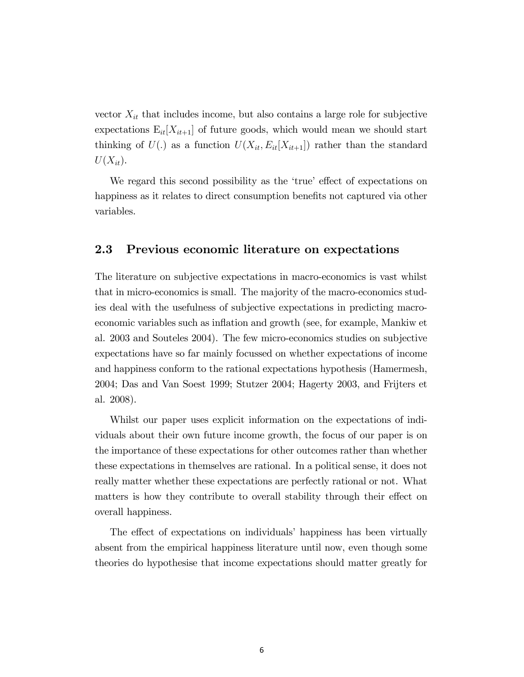vector  $X_{it}$  that includes income, but also contains a large role for subjective expectations  $E_{it}[X_{it+1}]$  of future goods, which would mean we should start thinking of  $U(.)$  as a function  $U(X_{it}, E_{it}[X_{it+1}])$  rather than the standard  $U(X_{it}).$ 

We regard this second possibility as the 'true' effect of expectations on happiness as it relates to direct consumption benefits not captured via other variables.

#### 2.3 Previous economic literature on expectations

The literature on subjective expectations in macro-economics is vast whilst that in micro-economics is small. The majority of the macro-economics studies deal with the usefulness of subjective expectations in predicting macroeconomic variables such as inflation and growth (see, for example, Mankiw et al. 2003 and Souteles 2004). The few micro-economics studies on subjective expectations have so far mainly focussed on whether expectations of income and happiness conform to the rational expectations hypothesis (Hamermesh, 2004; Das and Van Soest 1999; Stutzer 2004; Hagerty 2003, and Frijters et al. 2008).

Whilst our paper uses explicit information on the expectations of individuals about their own future income growth, the focus of our paper is on the importance of these expectations for other outcomes rather than whether these expectations in themselves are rational. In a political sense, it does not really matter whether these expectations are perfectly rational or not. What matters is how they contribute to overall stability through their effect on overall happiness.

The effect of expectations on individuals' happiness has been virtually absent from the empirical happiness literature until now, even though some theories do hypothesise that income expectations should matter greatly for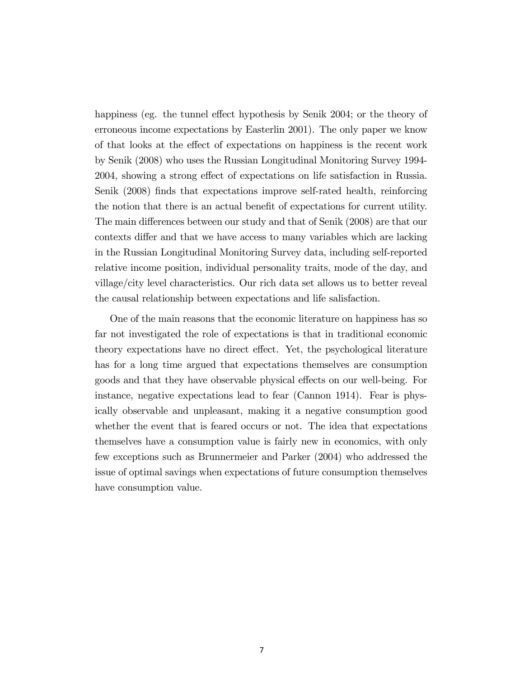happiness (eg. the tunnel effect hypothesis by Senik 2004; or the theory of erroneous income expectations by Easterlin 2001). The only paper we know of that looks at the effect of expectations on happiness is the recent work by Senik (2008) who uses the Russian Longitudinal Monitoring Survey 1994- 2004, showing a strong effect of expectations on life satisfaction in Russia. Senik (2008) finds that expectations improve self-rated health, reinforcing the notion that there is an actual benefit of expectations for current utility. The main differences between our study and that of Senik (2008) are that our contexts differ and that we have access to many variables which are lacking in the Russian Longitudinal Monitoring Survey data, including self-reported relative income position, individual personality traits, mode of the day, and village/city level characteristics. Our rich data set allows us to better reveal the causal relationship between expectations and life salisfaction.

One of the main reasons that the economic literature on happiness has so far not investigated the role of expectations is that in traditional economic theory expectations have no direct effect. Yet, the psychological literature has for a long time argued that expectations themselves are consumption goods and that they have observable physical effects on our well-being. For instance, negative expectations lead to fear (Cannon 1914). Fear is physically observable and unpleasant, making it a negative consumption good whether the event that is feared occurs or not. The idea that expectations themselves have a consumption value is fairly new in economics, with only few exceptions such as Brunnermeier and Parker (2004) who addressed the issue of optimal savings when expectations of future consumption themselves have consumption value.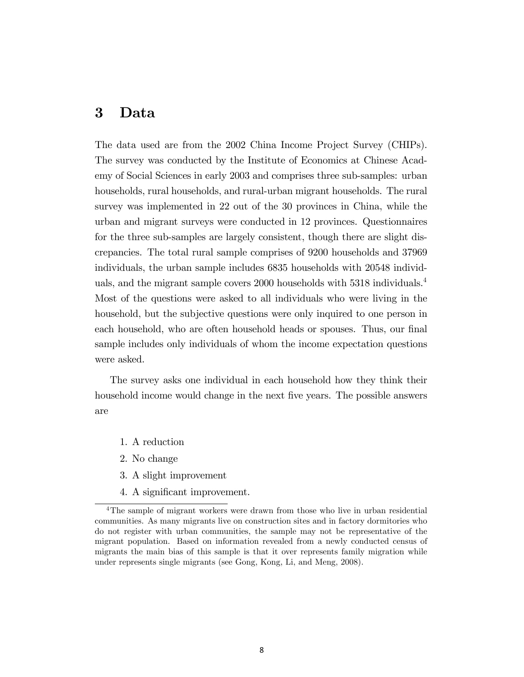### 3 Data

The data used are from the 2002 China Income Project Survey (CHIPs). The survey was conducted by the Institute of Economics at Chinese Academy of Social Sciences in early 2003 and comprises three sub-samples: urban households, rural households, and rural-urban migrant households. The rural survey was implemented in 22 out of the 30 provinces in China, while the urban and migrant surveys were conducted in 12 provinces. Questionnaires for the three sub-samples are largely consistent, though there are slight discrepancies. The total rural sample comprises of 9200 households and 37969 individuals, the urban sample includes 6835 households with 20548 individuals, and the migrant sample covers 2000 households with 5318 individuals.<sup>4</sup> Most of the questions were asked to all individuals who were living in the household, but the subjective questions were only inquired to one person in each household, who are often household heads or spouses. Thus, our final sample includes only individuals of whom the income expectation questions were asked.

The survey asks one individual in each household how they think their household income would change in the next five years. The possible answers are

- 1. A reduction
- 2. No change
- 3. A slight improvement
- 4. A significant improvement.

<sup>4</sup>The sample of migrant workers were drawn from those who live in urban residential communities. As many migrants live on construction sites and in factory dormitories who do not register with urban communities, the sample may not be representative of the migrant population. Based on information revealed from a newly conducted census of migrants the main bias of this sample is that it over represents family migration while under represents single migrants (see Gong, Kong, Li, and Meng, 2008).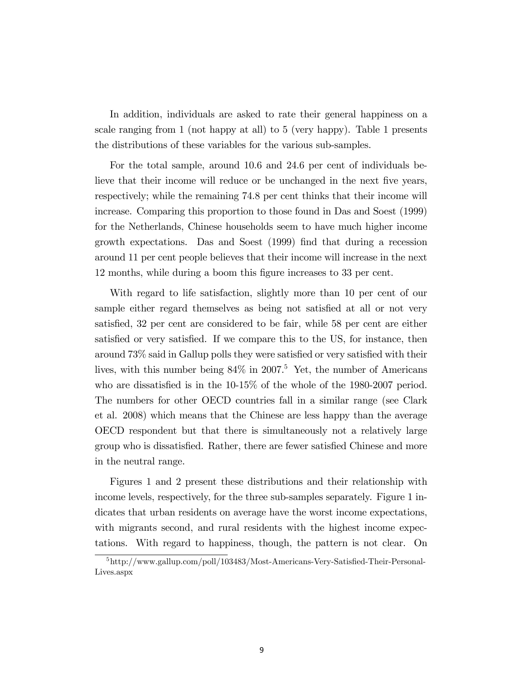In addition, individuals are asked to rate their general happiness on a scale ranging from 1 (not happy at all) to 5 (very happy). Table 1 presents the distributions of these variables for the various sub-samples.

For the total sample, around 10.6 and 24.6 per cent of individuals believe that their income will reduce or be unchanged in the next five years, respectively; while the remaining 74.8 per cent thinks that their income will increase. Comparing this proportion to those found in Das and Soest (1999) for the Netherlands, Chinese households seem to have much higher income growth expectations. Das and Soest (1999) Önd that during a recession around 11 per cent people believes that their income will increase in the next 12 months, while during a boom this Ögure increases to 33 per cent.

With regard to life satisfaction, slightly more than 10 per cent of our sample either regard themselves as being not satisfied at all or not very satisfied, 32 per cent are considered to be fair, while 58 per cent are either satisfied or very satisfied. If we compare this to the US, for instance, then around  $73\%$  said in Gallup polls they were satisfied or very satisfied with their lives, with this number being  $84\%$  in 2007.<sup>5</sup> Yet, the number of Americans who are dissatisfied is in the  $10-15\%$  of the whole of the 1980-2007 period. The numbers for other OECD countries fall in a similar range (see Clark et al. 2008) which means that the Chinese are less happy than the average OECD respondent but that there is simultaneously not a relatively large group who is dissatisfied. Rather, there are fewer satisfied Chinese and more in the neutral range.

Figures 1 and 2 present these distributions and their relationship with income levels, respectively, for the three sub-samples separately. Figure 1 indicates that urban residents on average have the worst income expectations, with migrants second, and rural residents with the highest income expectations. With regard to happiness, though, the pattern is not clear. On

 $5$ http://www.gallup.com/poll/103483/Most-Americans-Very-Satisfied-Their-Personal-Lives.aspx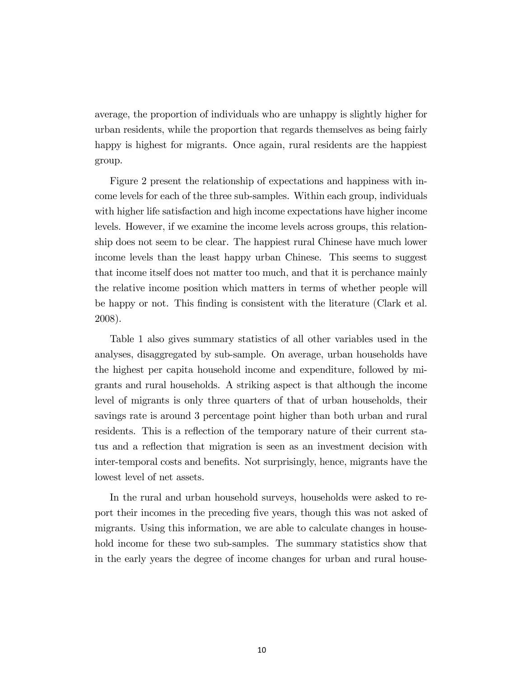average, the proportion of individuals who are unhappy is slightly higher for urban residents, while the proportion that regards themselves as being fairly happy is highest for migrants. Once again, rural residents are the happiest group.

Figure 2 present the relationship of expectations and happiness with income levels for each of the three sub-samples. Within each group, individuals with higher life satisfaction and high income expectations have higher income levels. However, if we examine the income levels across groups, this relationship does not seem to be clear. The happiest rural Chinese have much lower income levels than the least happy urban Chinese. This seems to suggest that income itself does not matter too much, and that it is perchance mainly the relative income position which matters in terms of whether people will be happy or not. This Önding is consistent with the literature (Clark et al. 2008).

Table 1 also gives summary statistics of all other variables used in the analyses, disaggregated by sub-sample. On average, urban households have the highest per capita household income and expenditure, followed by migrants and rural households. A striking aspect is that although the income level of migrants is only three quarters of that of urban households, their savings rate is around 3 percentage point higher than both urban and rural residents. This is a reflection of the temporary nature of their current status and a reflection that migration is seen as an investment decision with inter-temporal costs and benefits. Not surprisingly, hence, migrants have the lowest level of net assets.

In the rural and urban household surveys, households were asked to report their incomes in the preceding five years, though this was not asked of migrants. Using this information, we are able to calculate changes in household income for these two sub-samples. The summary statistics show that in the early years the degree of income changes for urban and rural house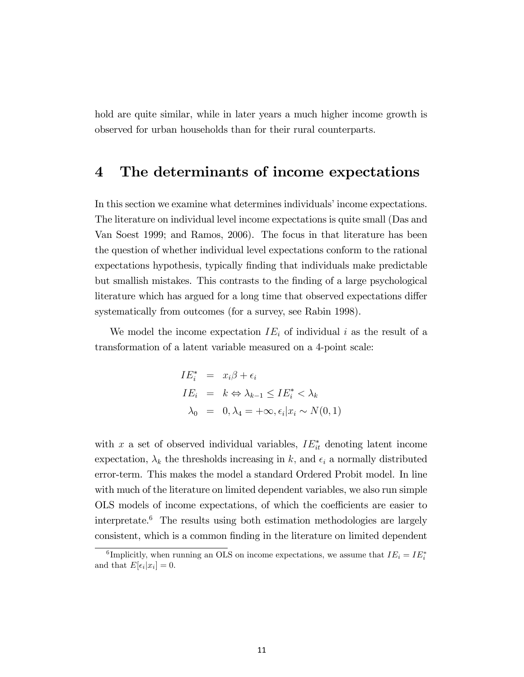hold are quite similar, while in later years a much higher income growth is observed for urban households than for their rural counterparts.

### 4 The determinants of income expectations

In this section we examine what determines individuals' income expectations. The literature on individual level income expectations is quite small (Das and Van Soest 1999; and Ramos, 2006). The focus in that literature has been the question of whether individual level expectations conform to the rational expectations hypothesis, typically finding that individuals make predictable but smallish mistakes. This contrasts to the Önding of a large psychological literature which has argued for a long time that observed expectations differ systematically from outcomes (for a survey, see Rabin 1998).

We model the income expectation  $IE_i$  of individual i as the result of a transformation of a latent variable measured on a 4-point scale:

$$
IE_i^* = x_i \beta + \epsilon_i
$$
  
\n
$$
IE_i = k \Leftrightarrow \lambda_{k-1} \leq IE_i^* < \lambda_k
$$
  
\n
$$
\lambda_0 = 0, \lambda_4 = +\infty, \epsilon_i | x_i \sim N(0, 1)
$$

with x a set of observed individual variables,  $IE_{it}^*$  denoting latent income expectation,  $\lambda_k$  the thresholds increasing in k, and  $\epsilon_i$  a normally distributed error-term. This makes the model a standard Ordered Probit model. In line with much of the literature on limited dependent variables, we also run simple OLS models of income expectations, of which the coefficients are easier to interpretate.<sup>6</sup> The results using both estimation methodologies are largely consistent, which is a common finding in the literature on limited dependent

<sup>&</sup>lt;sup>6</sup>Implicitly, when running an OLS on income expectations, we assume that  $IE_i = IE_i^*$ and that  $E[\epsilon_i | x_i] = 0$ .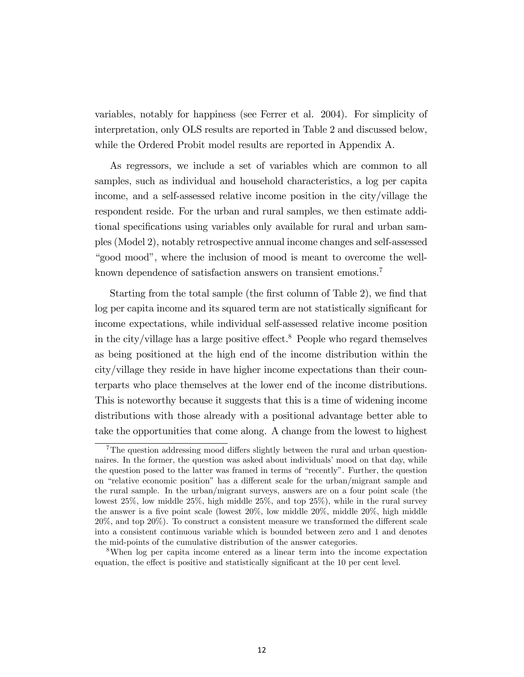variables, notably for happiness (see Ferrer et al. 2004). For simplicity of interpretation, only OLS results are reported in Table 2 and discussed below, while the Ordered Probit model results are reported in Appendix A.

As regressors, we include a set of variables which are common to all samples, such as individual and household characteristics, a log per capita income, and a self-assessed relative income position in the city/village the respondent reside. For the urban and rural samples, we then estimate additional specifications using variables only available for rural and urban samples (Model 2), notably retrospective annual income changes and self-assessed "good mood", where the inclusion of mood is meant to overcome the wellknown dependence of satisfaction answers on transient emotions.<sup>7</sup>

Starting from the total sample (the first column of Table 2), we find that log per capita income and its squared term are not statistically significant for income expectations, while individual self-assessed relative income position in the city/village has a large positive effect.<sup>8</sup> People who regard themselves as being positioned at the high end of the income distribution within the city/village they reside in have higher income expectations than their counterparts who place themselves at the lower end of the income distributions. This is noteworthy because it suggests that this is a time of widening income distributions with those already with a positional advantage better able to take the opportunities that come along. A change from the lowest to highest

 $7$ The question addressing mood differs slightly between the rural and urban questionnaires. In the former, the question was asked about individuals' mood on that day, while the question posed to the latter was framed in terms of "recently". Further, the question on "relative economic position" has a different scale for the urban/migrant sample and the rural sample. In the urban/migrant surveys, answers are on a four point scale (the lowest 25%, low middle 25%, high middle 25%, and top 25%), while in the rural survey the answer is a five point scale (lowest  $20\%$ , low middle  $20\%$ , middle  $20\%$ , high middle  $20\%$ , and top  $20\%$ ). To construct a consistent measure we transformed the different scale into a consistent continuous variable which is bounded between zero and 1 and denotes the mid-points of the cumulative distribution of the answer categories.

<sup>8</sup>When log per capita income entered as a linear term into the income expectation equation, the effect is positive and statistically significant at the 10 per cent level.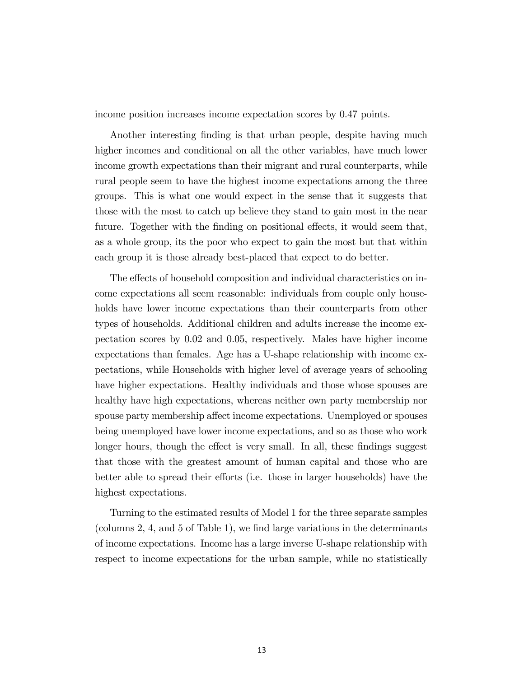income position increases income expectation scores by 0.47 points.

Another interesting finding is that urban people, despite having much higher incomes and conditional on all the other variables, have much lower income growth expectations than their migrant and rural counterparts, while rural people seem to have the highest income expectations among the three groups. This is what one would expect in the sense that it suggests that those with the most to catch up believe they stand to gain most in the near future. Together with the finding on positional effects, it would seem that, as a whole group, its the poor who expect to gain the most but that within each group it is those already best-placed that expect to do better.

The effects of household composition and individual characteristics on income expectations all seem reasonable: individuals from couple only households have lower income expectations than their counterparts from other types of households. Additional children and adults increase the income expectation scores by 0.02 and 0.05, respectively. Males have higher income expectations than females. Age has a U-shape relationship with income expectations, while Households with higher level of average years of schooling have higher expectations. Healthy individuals and those whose spouses are healthy have high expectations, whereas neither own party membership nor spouse party membership affect income expectations. Unemployed or spouses being unemployed have lower income expectations, and so as those who work longer hours, though the effect is very small. In all, these findings suggest that those with the greatest amount of human capital and those who are better able to spread their efforts (i.e. those in larger households) have the highest expectations.

Turning to the estimated results of Model 1 for the three separate samples (columns  $2, 4$ , and  $5$  of Table 1), we find large variations in the determinants of income expectations. Income has a large inverse U-shape relationship with respect to income expectations for the urban sample, while no statistically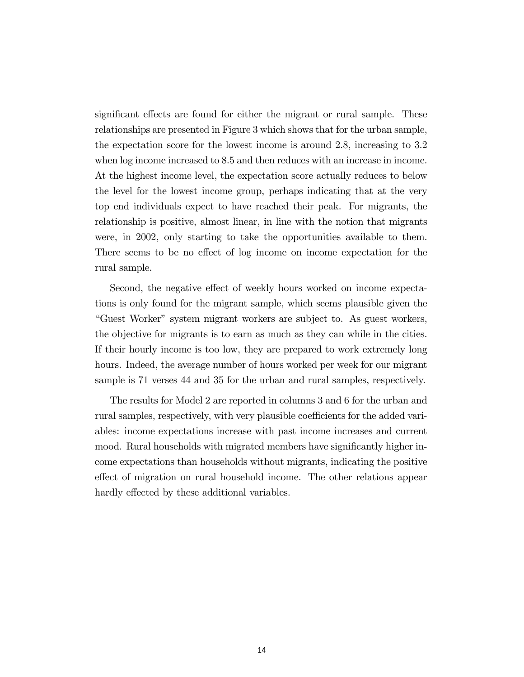significant effects are found for either the migrant or rural sample. These relationships are presented in Figure 3 which shows that for the urban sample, the expectation score for the lowest income is around 2.8, increasing to 3.2 when log income increased to 8.5 and then reduces with an increase in income. At the highest income level, the expectation score actually reduces to below the level for the lowest income group, perhaps indicating that at the very top end individuals expect to have reached their peak. For migrants, the relationship is positive, almost linear, in line with the notion that migrants were, in 2002, only starting to take the opportunities available to them. There seems to be no effect of log income on income expectation for the rural sample.

Second, the negative effect of weekly hours worked on income expectations is only found for the migrant sample, which seems plausible given the ìGuest Workerî system migrant workers are subject to. As guest workers, the objective for migrants is to earn as much as they can while in the cities. If their hourly income is too low, they are prepared to work extremely long hours. Indeed, the average number of hours worked per week for our migrant sample is 71 verses 44 and 35 for the urban and rural samples, respectively.

The results for Model 2 are reported in columns 3 and 6 for the urban and rural samples, respectively, with very plausible coefficients for the added variables: income expectations increase with past income increases and current mood. Rural households with migrated members have significantly higher income expectations than households without migrants, indicating the positive effect of migration on rural household income. The other relations appear hardly effected by these additional variables.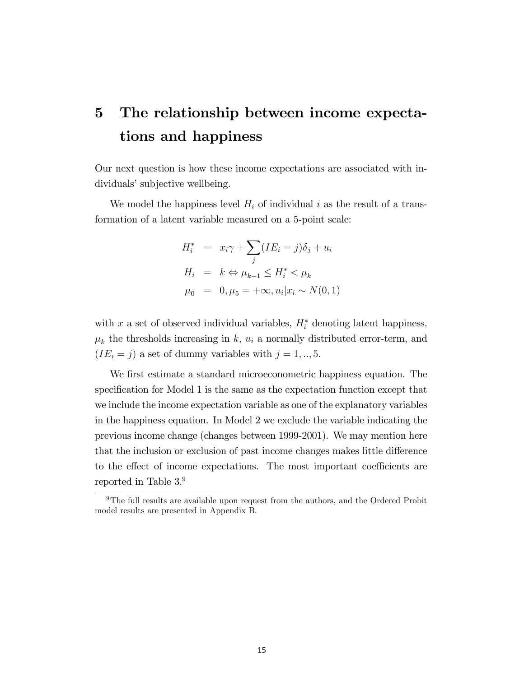# 5 The relationship between income expectations and happiness

Our next question is how these income expectations are associated with individuals' subjective wellbeing.

We model the happiness level  $H_i$  of individual i as the result of a transformation of a latent variable measured on a 5-point scale:

$$
H_i^* = x_i \gamma + \sum_j (IE_i = j)\delta_j + u_i
$$
  
\n
$$
H_i = k \Leftrightarrow \mu_{k-1} \le H_i^* < \mu_k
$$
  
\n
$$
\mu_0 = 0, \mu_5 = +\infty, u_i | x_i \sim N(0, 1)
$$

with x a set of observed individual variables,  $H_i^*$  denoting latent happiness,  $\mu_k$  the thresholds increasing in k,  $u_i$  a normally distributed error-term, and  $(IE_i = j)$  a set of dummy variables with  $j = 1, ..., 5$ .

We first estimate a standard microeconometric happiness equation. The specification for Model 1 is the same as the expectation function except that we include the income expectation variable as one of the explanatory variables in the happiness equation. In Model 2 we exclude the variable indicating the previous income change (changes between 1999-2001). We may mention here that the inclusion or exclusion of past income changes makes little difference to the effect of income expectations. The most important coefficients are reported in Table 3.<sup>9</sup>

<sup>9</sup>The full results are available upon request from the authors, and the Ordered Probit model results are presented in Appendix B.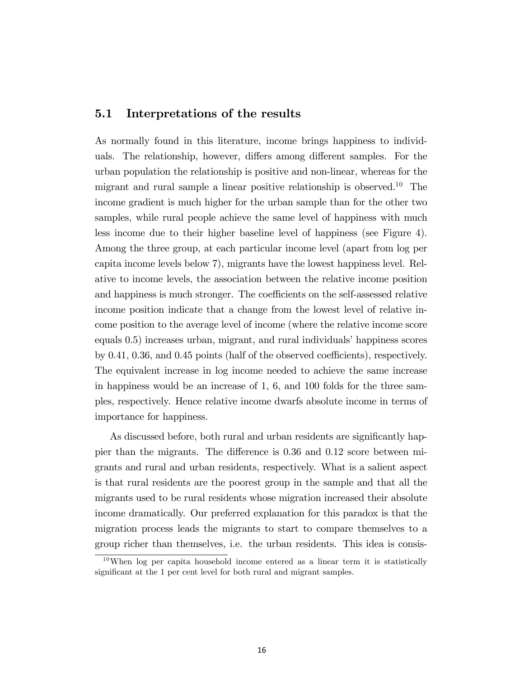#### 5.1 Interpretations of the results

As normally found in this literature, income brings happiness to individuals. The relationship, however, differs among different samples. For the urban population the relationship is positive and non-linear, whereas for the migrant and rural sample a linear positive relationship is observed.<sup>10</sup> The income gradient is much higher for the urban sample than for the other two samples, while rural people achieve the same level of happiness with much less income due to their higher baseline level of happiness (see Figure 4). Among the three group, at each particular income level (apart from log per capita income levels below 7), migrants have the lowest happiness level. Relative to income levels, the association between the relative income position and happiness is much stronger. The coefficients on the self-assessed relative income position indicate that a change from the lowest level of relative income position to the average level of income (where the relative income score  $\alpha$  equals  $(0.5)$  increases urban, migrant, and rural individuals' happiness scores by  $0.41, 0.36$ , and  $0.45$  points (half of the observed coefficients), respectively. The equivalent increase in log income needed to achieve the same increase in happiness would be an increase of 1, 6, and 100 folds for the three samples, respectively. Hence relative income dwarfs absolute income in terms of importance for happiness.

As discussed before, both rural and urban residents are significantly happier than the migrants. The difference is  $0.36$  and  $0.12$  score between migrants and rural and urban residents, respectively. What is a salient aspect is that rural residents are the poorest group in the sample and that all the migrants used to be rural residents whose migration increased their absolute income dramatically. Our preferred explanation for this paradox is that the migration process leads the migrants to start to compare themselves to a group richer than themselves, i.e. the urban residents. This idea is consis-

 $10$ When log per capita household income entered as a linear term it is statistically significant at the 1 per cent level for both rural and migrant samples.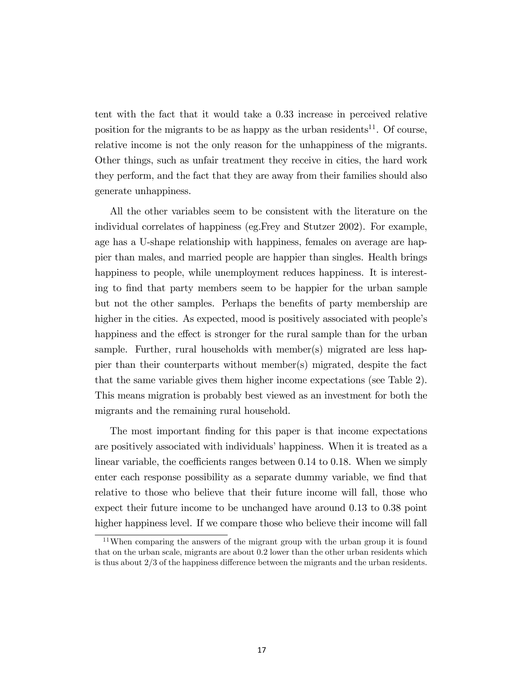tent with the fact that it would take a 0.33 increase in perceived relative position for the migrants to be as happy as the urban residents<sup>11</sup>. Of course, relative income is not the only reason for the unhappiness of the migrants. Other things, such as unfair treatment they receive in cities, the hard work they perform, and the fact that they are away from their families should also generate unhappiness.

All the other variables seem to be consistent with the literature on the individual correlates of happiness (eg.Frey and Stutzer 2002). For example, age has a U-shape relationship with happiness, females on average are happier than males, and married people are happier than singles. Health brings happiness to people, while unemployment reduces happiness. It is interesting to find that party members seem to be happier for the urban sample but not the other samples. Perhaps the benefits of party membership are higher in the cities. As expected, mood is positively associated with people's happiness and the effect is stronger for the rural sample than for the urban sample. Further, rural households with member(s) migrated are less happier than their counterparts without member(s) migrated, despite the fact that the same variable gives them higher income expectations (see Table 2). This means migration is probably best viewed as an investment for both the migrants and the remaining rural household.

The most important finding for this paper is that income expectations are positively associated with individuals' happiness. When it is treated as a linear variable, the coefficients ranges between  $0.14$  to  $0.18$ . When we simply enter each response possibility as a separate dummy variable, we find that relative to those who believe that their future income will fall, those who expect their future income to be unchanged have around 0.13 to 0.38 point higher happiness level. If we compare those who believe their income will fall

<sup>11</sup>When comparing the answers of the migrant group with the urban group it is found that on the urban scale, migrants are about 0.2 lower than the other urban residents which is thus about  $2/3$  of the happiness difference between the migrants and the urban residents.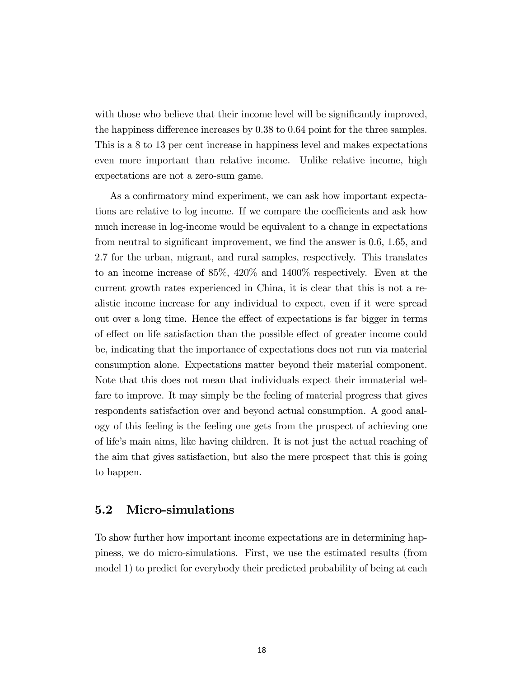with those who believe that their income level will be significantly improved, the happiness difference increases by  $0.38$  to  $0.64$  point for the three samples. This is a 8 to 13 per cent increase in happiness level and makes expectations even more important than relative income. Unlike relative income, high expectations are not a zero-sum game.

As a confirmatory mind experiment, we can ask how important expectations are relative to log income. If we compare the coefficients and ask how much increase in log-income would be equivalent to a change in expectations from neutral to significant improvement, we find the answer is  $0.6, 1.65,$  and 2.7 for the urban, migrant, and rural samples, respectively. This translates to an income increase of 85%, 420% and 1400% respectively. Even at the current growth rates experienced in China, it is clear that this is not a realistic income increase for any individual to expect, even if it were spread out over a long time. Hence the effect of expectations is far bigger in terms of effect on life satisfaction than the possible effect of greater income could be, indicating that the importance of expectations does not run via material consumption alone. Expectations matter beyond their material component. Note that this does not mean that individuals expect their immaterial welfare to improve. It may simply be the feeling of material progress that gives respondents satisfaction over and beyond actual consumption. A good analogy of this feeling is the feeling one gets from the prospect of achieving one of lifeís main aims, like having children. It is not just the actual reaching of the aim that gives satisfaction, but also the mere prospect that this is going to happen.

### 5.2 Micro-simulations

To show further how important income expectations are in determining happiness, we do micro-simulations. First, we use the estimated results (from model 1) to predict for everybody their predicted probability of being at each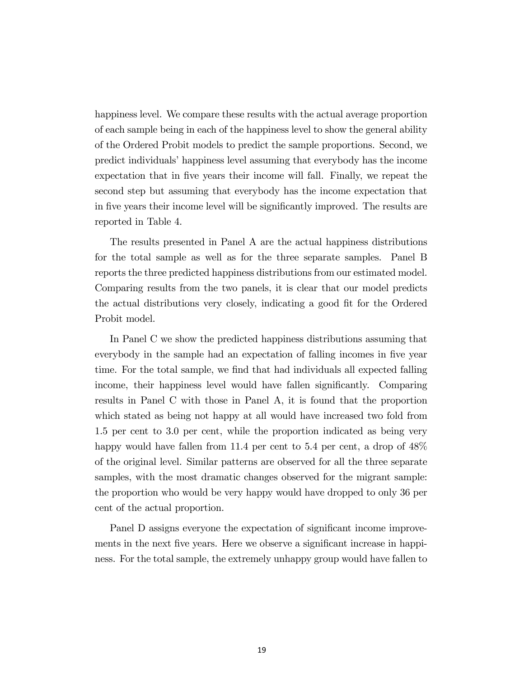happiness level. We compare these results with the actual average proportion of each sample being in each of the happiness level to show the general ability of the Ordered Probit models to predict the sample proportions. Second, we predict individuals' happiness level assuming that everybody has the income expectation that in five years their income will fall. Finally, we repeat the second step but assuming that everybody has the income expectation that in five years their income level will be significantly improved. The results are reported in Table 4.

The results presented in Panel A are the actual happiness distributions for the total sample as well as for the three separate samples. Panel B reports the three predicted happiness distributions from our estimated model. Comparing results from the two panels, it is clear that our model predicts the actual distributions very closely, indicating a good fit for the Ordered Probit model.

In Panel C we show the predicted happiness distributions assuming that everybody in the sample had an expectation of falling incomes in five year time. For the total sample, we find that had individuals all expected falling income, their happiness level would have fallen significantly. Comparing results in Panel C with those in Panel A, it is found that the proportion which stated as being not happy at all would have increased two fold from 1.5 per cent to 3.0 per cent, while the proportion indicated as being very happy would have fallen from 11.4 per cent to 5.4 per cent, a drop of  $48\%$ of the original level. Similar patterns are observed for all the three separate samples, with the most dramatic changes observed for the migrant sample: the proportion who would be very happy would have dropped to only 36 per cent of the actual proportion.

Panel D assigns everyone the expectation of significant income improvements in the next five years. Here we observe a significant increase in happiness. For the total sample, the extremely unhappy group would have fallen to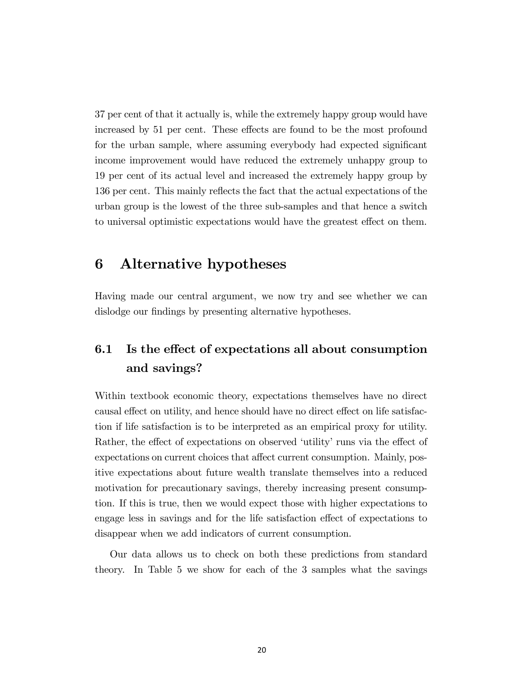37 per cent of that it actually is, while the extremely happy group would have increased by 51 per cent. These effects are found to be the most profound for the urban sample, where assuming everybody had expected significant income improvement would have reduced the extremely unhappy group to 19 per cent of its actual level and increased the extremely happy group by 136 per cent. This mainly reflects the fact that the actual expectations of the urban group is the lowest of the three sub-samples and that hence a switch to universal optimistic expectations would have the greatest effect on them.

### 6 Alternative hypotheses

Having made our central argument, we now try and see whether we can dislodge our findings by presenting alternative hypotheses.

# 6.1 Is the effect of expectations all about consumption and savings?

Within textbook economic theory, expectations themselves have no direct causal effect on utility, and hence should have no direct effect on life satisfaction if life satisfaction is to be interpreted as an empirical proxy for utility. Rather, the effect of expectations on observed 'utility' runs via the effect of expectations on current choices that affect current consumption. Mainly, positive expectations about future wealth translate themselves into a reduced motivation for precautionary savings, thereby increasing present consumption. If this is true, then we would expect those with higher expectations to engage less in savings and for the life satisfaction effect of expectations to disappear when we add indicators of current consumption.

Our data allows us to check on both these predictions from standard theory. In Table 5 we show for each of the 3 samples what the savings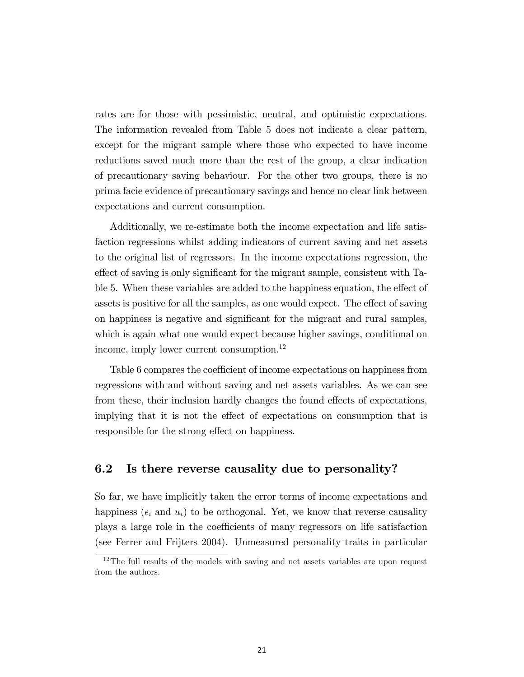rates are for those with pessimistic, neutral, and optimistic expectations. The information revealed from Table 5 does not indicate a clear pattern, except for the migrant sample where those who expected to have income reductions saved much more than the rest of the group, a clear indication of precautionary saving behaviour. For the other two groups, there is no prima facie evidence of precautionary savings and hence no clear link between expectations and current consumption.

Additionally, we re-estimate both the income expectation and life satisfaction regressions whilst adding indicators of current saving and net assets to the original list of regressors. In the income expectations regression, the effect of saving is only significant for the migrant sample, consistent with Table 5. When these variables are added to the happiness equation, the effect of assets is positive for all the samples, as one would expect. The effect of saving on happiness is negative and significant for the migrant and rural samples, which is again what one would expect because higher savings, conditional on income, imply lower current consumption.<sup>12</sup>

Table 6 compares the coefficient of income expectations on happiness from regressions with and without saving and net assets variables. As we can see from these, their inclusion hardly changes the found effects of expectations, implying that it is not the effect of expectations on consumption that is responsible for the strong effect on happiness.

#### 6.2 Is there reverse causality due to personality?

So far, we have implicitly taken the error terms of income expectations and happiness ( $\epsilon_i$  and  $u_i$ ) to be orthogonal. Yet, we know that reverse causality plays a large role in the coefficients of many regressors on life satisfaction (see Ferrer and Frijters 2004). Unmeasured personality traits in particular

 $12$ The full results of the models with saving and net assets variables are upon request from the authors.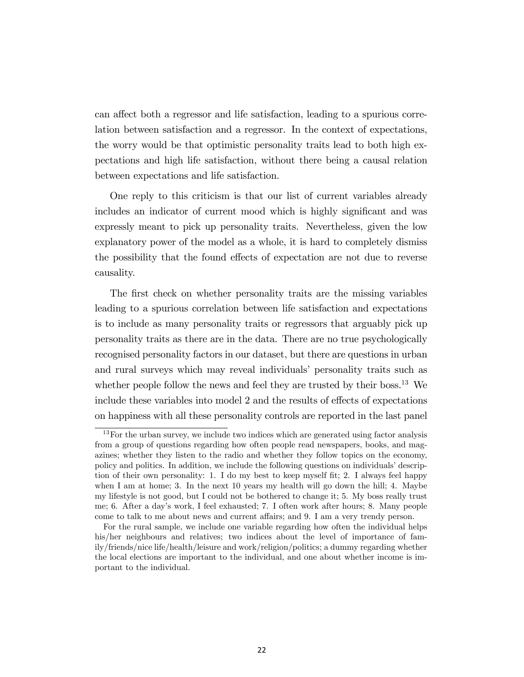can affect both a regressor and life satisfaction, leading to a spurious correlation between satisfaction and a regressor. In the context of expectations, the worry would be that optimistic personality traits lead to both high expectations and high life satisfaction, without there being a causal relation between expectations and life satisfaction.

One reply to this criticism is that our list of current variables already includes an indicator of current mood which is highly significant and was expressly meant to pick up personality traits. Nevertheless, given the low explanatory power of the model as a whole, it is hard to completely dismiss the possibility that the found effects of expectation are not due to reverse causality.

The first check on whether personality traits are the missing variables leading to a spurious correlation between life satisfaction and expectations is to include as many personality traits or regressors that arguably pick up personality traits as there are in the data. There are no true psychologically recognised personality factors in our dataset, but there are questions in urban and rural surveys which may reveal individuals' personality traits such as whether people follow the news and feel they are trusted by their boss.<sup>13</sup> We include these variables into model 2 and the results of effects of expectations on happiness with all these personality controls are reported in the last panel

<sup>&</sup>lt;sup>13</sup>For the urban survey, we include two indices which are generated using factor analysis from a group of questions regarding how often people read newspapers, books, and magazines; whether they listen to the radio and whether they follow topics on the economy, policy and politics. In addition, we include the following questions on individuals' description of their own personality: 1. I do my best to keep myself fit; 2. I always feel happy when I am at home; 3. In the next 10 years my health will go down the hill; 4. Maybe my lifestyle is not good, but I could not be bothered to change it; 5. My boss really trust me; 6. After a dayís work, I feel exhausted; 7. I often work after hours; 8. Many people come to talk to me about news and current affairs; and 9. I am a very trendy person.

For the rural sample, we include one variable regarding how often the individual helps his/her neighbours and relatives; two indices about the level of importance of family/friends/nice life/health/leisure and work/religion/politics; a dummy regarding whether the local elections are important to the individual, and one about whether income is important to the individual.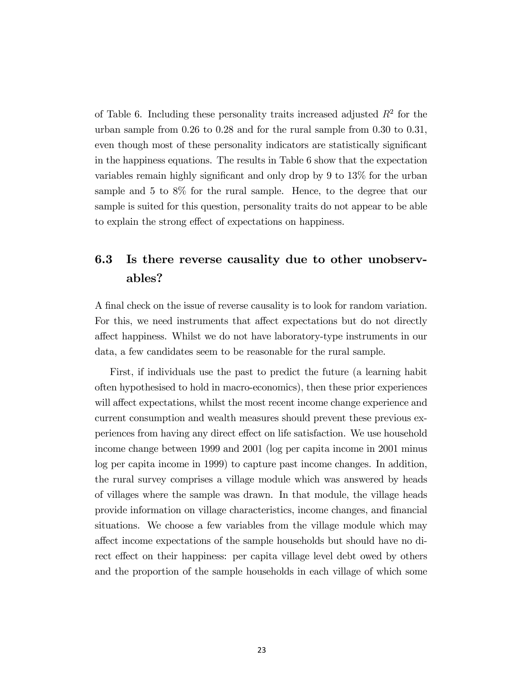of Table 6. Including these personality traits increased adjusted  $R^2$  for the urban sample from 0.26 to 0.28 and for the rural sample from 0.30 to 0.31, even though most of these personality indicators are statistically significant in the happiness equations. The results in Table 6 show that the expectation variables remain highly significant and only drop by  $9$  to  $13\%$  for the urban sample and 5 to 8% for the rural sample. Hence, to the degree that our sample is suited for this question, personality traits do not appear to be able to explain the strong effect of expectations on happiness.

## 6.3 Is there reverse causality due to other unobservables?

A final check on the issue of reverse causality is to look for random variation. For this, we need instruments that affect expectations but do not directly a§ect happiness. Whilst we do not have laboratory-type instruments in our data, a few candidates seem to be reasonable for the rural sample.

First, if individuals use the past to predict the future (a learning habit often hypothesised to hold in macro-economics), then these prior experiences will affect expectations, whilst the most recent income change experience and current consumption and wealth measures should prevent these previous experiences from having any direct effect on life satisfaction. We use household income change between 1999 and 2001 (log per capita income in 2001 minus log per capita income in 1999) to capture past income changes. In addition, the rural survey comprises a village module which was answered by heads of villages where the sample was drawn. In that module, the village heads provide information on village characteristics, income changes, and Önancial situations. We choose a few variables from the village module which may a§ect income expectations of the sample households but should have no direct effect on their happiness: per capita village level debt owed by others and the proportion of the sample households in each village of which some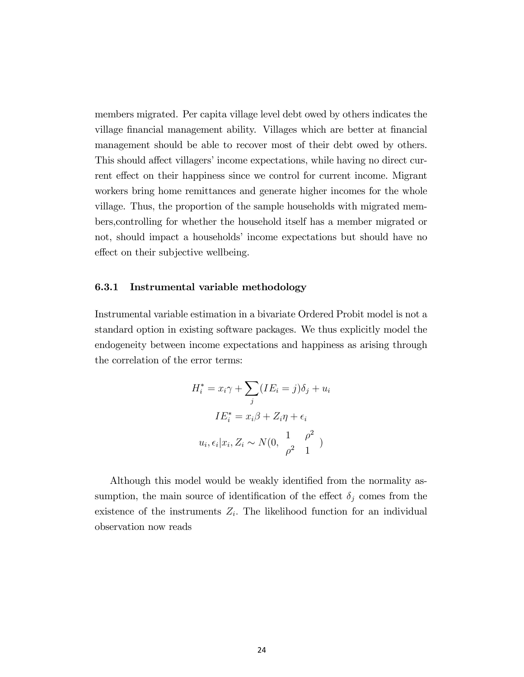members migrated. Per capita village level debt owed by others indicates the village financial management ability. Villages which are better at financial management should be able to recover most of their debt owed by others. This should affect villagers' income expectations, while having no direct current effect on their happiness since we control for current income. Migrant workers bring home remittances and generate higher incomes for the whole village. Thus, the proportion of the sample households with migrated members,controlling for whether the household itself has a member migrated or not, should impact a households' income expectations but should have no effect on their subjective wellbeing.

#### 6.3.1 Instrumental variable methodology

Instrumental variable estimation in a bivariate Ordered Probit model is not a standard option in existing software packages. We thus explicitly model the endogeneity between income expectations and happiness as arising through the correlation of the error terms:

$$
H_i^* = x_i \gamma + \sum_j (IE_i = j)\delta_j + u_i
$$

$$
IE_i^* = x_i \beta + Z_i \eta + \epsilon_i
$$

$$
u_i, \epsilon_i | x_i, Z_i \sim N(0, \frac{1}{\rho^2} \frac{\rho^2}{1})
$$

Although this model would be weakly identified from the normality assumption, the main source of identification of the effect  $\delta_j$  comes from the existence of the instruments  $Z_i$ . The likelihood function for an individual observation now reads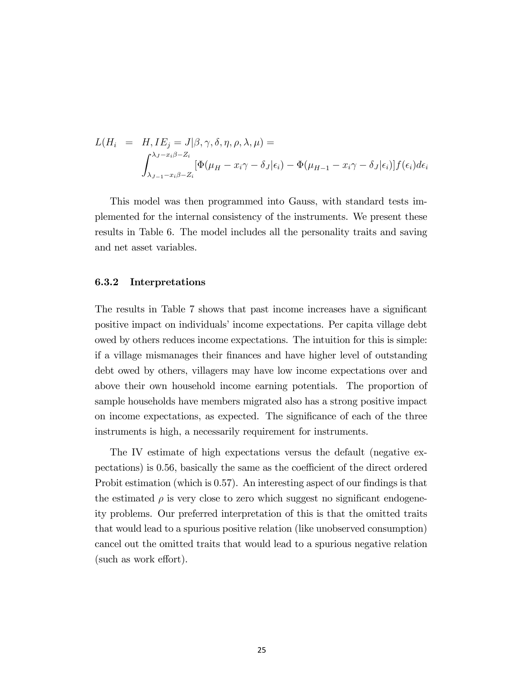$$
L(H_i = H, IE_j = J | \beta, \gamma, \delta, \eta, \rho, \lambda, \mu) =
$$
  

$$
\int_{\lambda_{J-1} - x_i \beta - Z_i}^{\lambda_J - x_i \beta - Z_i} [\Phi(\mu_H - x_i \gamma - \delta_J | \epsilon_i) - \Phi(\mu_{H-1} - x_i \gamma - \delta_J | \epsilon_i)] f(\epsilon_i) d\epsilon_i
$$

This model was then programmed into Gauss, with standard tests implemented for the internal consistency of the instruments. We present these results in Table 6. The model includes all the personality traits and saving and net asset variables.

#### 6.3.2 Interpretations

The results in Table 7 shows that past income increases have a significant positive impact on individuals' income expectations. Per capita village debt owed by others reduces income expectations. The intuition for this is simple: if a village mismanages their Önances and have higher level of outstanding debt owed by others, villagers may have low income expectations over and above their own household income earning potentials. The proportion of sample households have members migrated also has a strong positive impact on income expectations, as expected. The significance of each of the three instruments is high, a necessarily requirement for instruments.

The IV estimate of high expectations versus the default (negative expectations) is  $0.56$ , basically the same as the coefficient of the direct ordered Probit estimation (which is  $0.57$ ). An interesting aspect of our findings is that the estimated  $\rho$  is very close to zero which suggest no significant endogeneity problems. Our preferred interpretation of this is that the omitted traits that would lead to a spurious positive relation (like unobserved consumption) cancel out the omitted traits that would lead to a spurious negative relation  $(such as work effort).$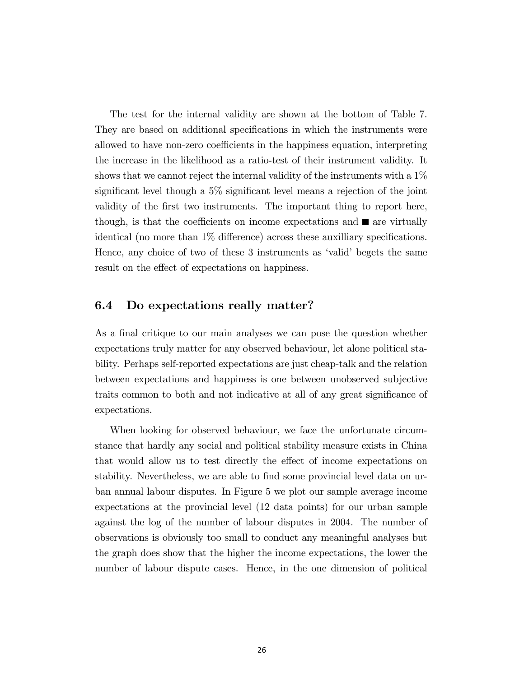The test for the internal validity are shown at the bottom of Table 7. They are based on additional specifications in which the instruments were allowed to have non-zero coefficients in the happiness equation, interpreting the increase in the likelihood as a ratio-test of their instrument validity. It shows that we cannot reject the internal validity of the instruments with a  $1\%$ significant level though a  $5\%$  significant level means a rejection of the joint validity of the first two instruments. The important thing to report here, though, is that the coefficients on income expectations and  $\blacksquare$  are virtually identical (no more than  $1\%$  difference) across these auxilliary specifications. Hence, any choice of two of these  $3$  instruments as 'valid' begets the same result on the effect of expectations on happiness.

#### 6.4 Do expectations really matter?

As a final critique to our main analyses we can pose the question whether expectations truly matter for any observed behaviour, let alone political stability. Perhaps self-reported expectations are just cheap-talk and the relation between expectations and happiness is one between unobserved subjective traits common to both and not indicative at all of any great significance of expectations.

When looking for observed behaviour, we face the unfortunate circumstance that hardly any social and political stability measure exists in China that would allow us to test directly the effect of income expectations on stability. Nevertheless, we are able to find some provincial level data on urban annual labour disputes. In Figure 5 we plot our sample average income expectations at the provincial level (12 data points) for our urban sample against the log of the number of labour disputes in 2004. The number of observations is obviously too small to conduct any meaningful analyses but the graph does show that the higher the income expectations, the lower the number of labour dispute cases. Hence, in the one dimension of political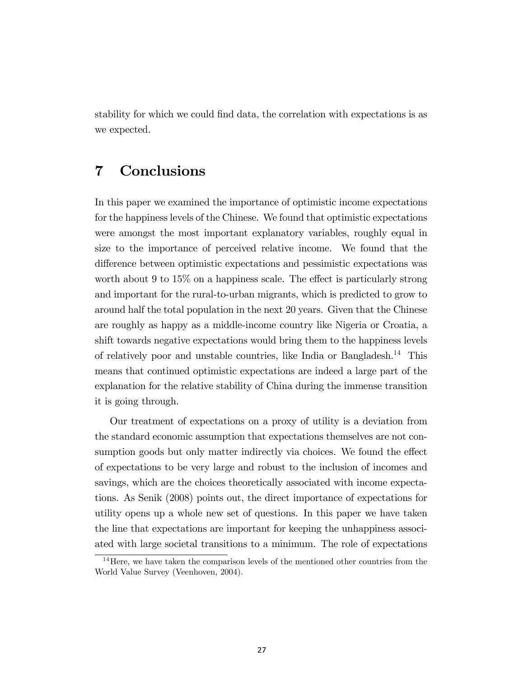stability for which we could find data, the correlation with expectations is as we expected.

### 7 Conclusions

In this paper we examined the importance of optimistic income expectations for the happiness levels of the Chinese. We found that optimistic expectations were amongst the most important explanatory variables, roughly equal in size to the importance of perceived relative income. We found that the difference between optimistic expectations and pessimistic expectations was worth about 9 to  $15\%$  on a happiness scale. The effect is particularly strong and important for the rural-to-urban migrants, which is predicted to grow to around half the total population in the next 20 years. Given that the Chinese are roughly as happy as a middle-income country like Nigeria or Croatia, a shift towards negative expectations would bring them to the happiness levels of relatively poor and unstable countries, like India or Bangladesh.<sup>14</sup> This means that continued optimistic expectations are indeed a large part of the explanation for the relative stability of China during the immense transition it is going through.

Our treatment of expectations on a proxy of utility is a deviation from the standard economic assumption that expectations themselves are not consumption goods but only matter indirectly via choices. We found the effect of expectations to be very large and robust to the inclusion of incomes and savings, which are the choices theoretically associated with income expectations. As Senik (2008) points out, the direct importance of expectations for utility opens up a whole new set of questions. In this paper we have taken the line that expectations are important for keeping the unhappiness associated with large societal transitions to a minimum. The role of expectations

<sup>&</sup>lt;sup>14</sup>Here, we have taken the comparison levels of the mentioned other countries from the World Value Survey (Veenhoven, 2004).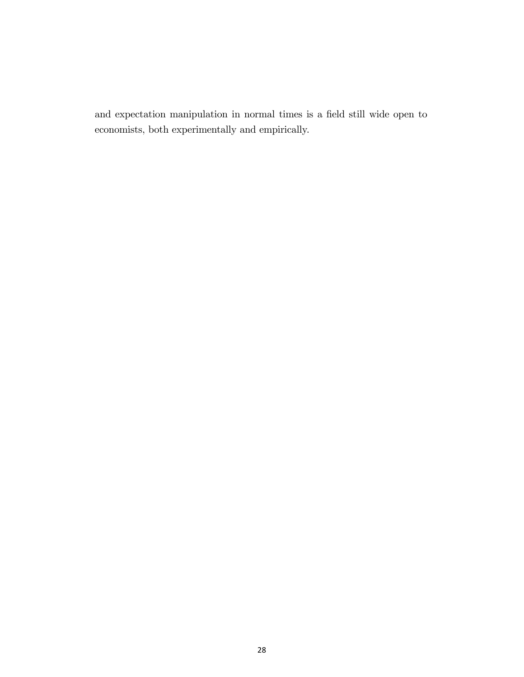and expectation manipulation in normal times is a field still wide open to economists, both experimentally and empirically.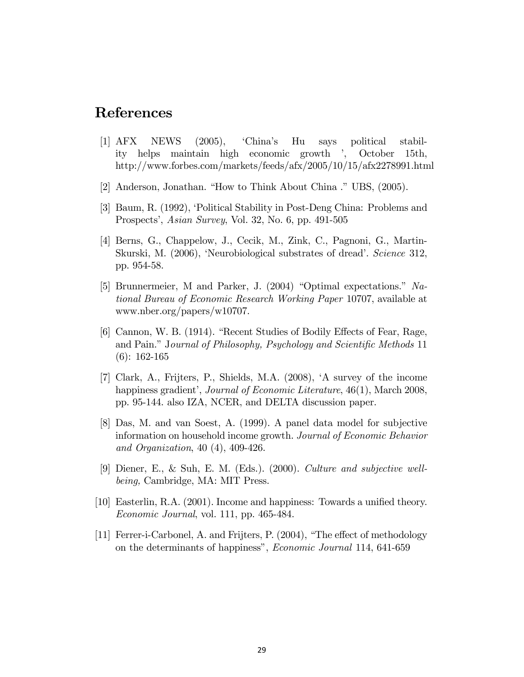## References

- [1] AFX NEWS (2005), ëChinaís Hu says political stability helps maintain high economic growth ', October 15th, http://www.forbes.com/markets/feeds/afx/2005/10/15/afx2278991.html
- [2] Anderson, Jonathan. "How to Think About China ." UBS, (2005).
- [3] Baum, R. (1992), ëPolitical Stability in Post-Deng China: Problems and Prospectsí, Asian Survey, Vol. 32, No. 6, pp. 491-505
- [4] Berns, G., Chappelow, J., Cecik, M., Zink, C., Pagnoni, G., Martin-Skurski, M. (2006), 'Neurobiological substrates of dread'. Science 312, pp. 954-58.
- [5] Brunnermeier, M and Parker, J.  $(2004)$  "Optimal expectations." National Bureau of Economic Research Working Paper 10707, available at www.nber.org/papers/w10707.
- [6] Cannon, W. B. (1914). "Recent Studies of Bodily Effects of Fear, Rage, and Pain." Journal of Philosophy, Psychology and Scientific Methods 11 (6): 162-165
- [7] Clark, A., Frijters, P., Shields, M.A. (2008), ëA survey of the income happiness gradient', Journal of Economic Literature, 46(1), March 2008, pp. 95-144. also IZA, NCER, and DELTA discussion paper.
- [8] Das, M. and van Soest, A. (1999). A panel data model for subjective information on household income growth. Journal of Economic Behavior and Organization, 40 (4), 409-426.
- [9] Diener, E., & Suh, E. M. (Eds.). (2000). Culture and subjective wellbeing, Cambridge, MA: MIT Press.
- [10] Easterlin, R.A.  $(2001)$ . Income and happiness: Towards a unified theory. Economic Journal, vol. 111, pp. 465-484.
- [11] Ferrer-i-Carbonel, A. and Frijters, P.  $(2004)$ , "The effect of methodology on the determinants of happiness", *Economic Journal* 114, 641-659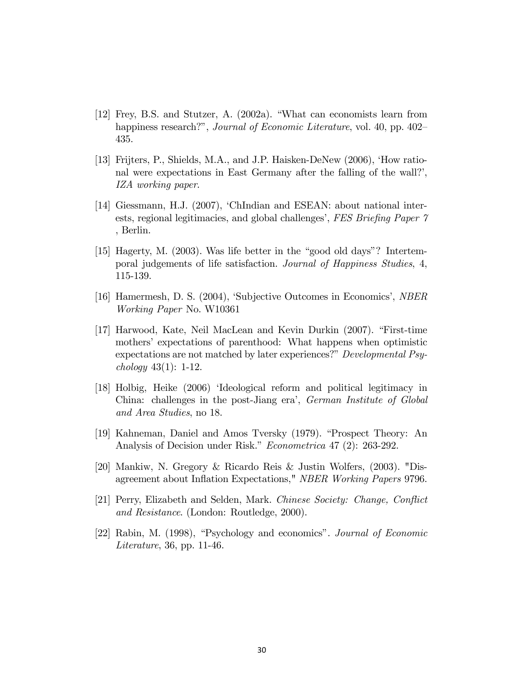- $[12]$  Frey, B.S. and Stutzer, A.  $(2002a)$ . "What can economists learn from happiness research?", Journal of Economic Literature, vol. 40, pp. 402– 435.
- [13] Frijters, P., Shields, M.A., and J.P. Haisken-DeNew (2006), ëHow rational were expectations in East Germany after the falling of the wall?', IZA working paper.
- [14] Giessmann, H.J. (2007), ëChIndian and ESEAN: about national interests, regional legitimacies, and global challenges',  $FES Briefing Paper 7$ , Berlin.
- [15] Hagerty, M.  $(2003)$ . Was life better in the "good old days"? Intertemporal judgements of life satisfaction. Journal of Happiness Studies, 4, 115-139.
- [16] Hamermesh, D. S. (2004), 'Subjective Outcomes in Economics', *NBER* Working Paper No. W10361
- [17] Harwood, Kate, Neil MacLean and Kevin Durkin (2007). "First-time mothers' expectations of parenthood: What happens when optimistic expectations are not matched by later experiences?" Developmental Psy $chology 43(1): 1-12.$
- [18] Holbig, Heike (2006) ëIdeological reform and political legitimacy in China: challenges in the post-Jiang era', German Institute of Global and Area Studies, no 18.
- [19] Kahneman, Daniel and Amos Tversky (1979). "Prospect Theory: An Analysis of Decision under Risk." Econometrica 47 (2): 263-292.
- [20] Mankiw, N. Gregory & Ricardo Reis & Justin Wolfers, (2003). "Disagreement about Inflation Expectations," NBER Working Papers 9796.
- [21] Perry, Elizabeth and Selden, Mark. Chinese Society: Change, Conflict and Resistance. (London: Routledge, 2000).
- [22] Rabin, M.  $(1998)$ , "Psychology and economics". *Journal of Economic* Literature, 36, pp. 11-46.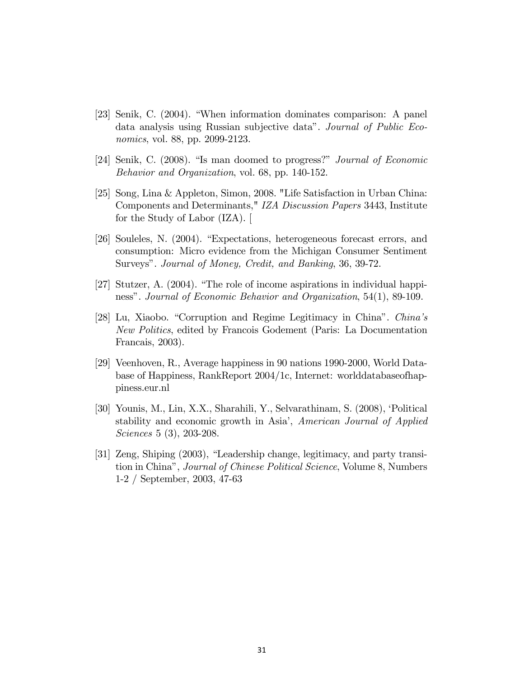- [23] Senik, C.  $(2004)$ . "When information dominates comparison: A panel data analysis using Russian subjective data". Journal of Public Economics, vol. 88, pp. 2099-2123.
- [24] Senik, C. (2008). "Is man doomed to progress?" *Journal of Economic* Behavior and Organization, vol. 68, pp. 140-152.
- [25] Song, Lina & Appleton, Simon, 2008. "Life Satisfaction in Urban China: Components and Determinants," IZA Discussion Papers 3443, Institute for the Study of Labor (IZA). [
- [26] Souleles, N. (2004). "Expectations, heterogeneous forecast errors, and consumption: Micro evidence from the Michigan Consumer Sentiment Surveysî. Journal of Money, Credit, and Banking, 36, 39-72.
- $[27]$  Stutzer, A. (2004). "The role of income aspirations in individual happiness". Journal of Economic Behavior and Organization, 54(1), 89-109.
- [28] Lu, Xiaobo. "Corruption and Regime Legitimacy in China". China's New Politics, edited by Francois Godement (Paris: La Documentation Francais, 2003).
- [29] Veenhoven, R., Average happiness in 90 nations 1990-2000, World Database of Happiness, RankReport 2004/1c, Internet: worlddatabaseofhappiness.eur.nl
- [30] Younis, M., Lin, X.X., Sharahili, Y., Selvarathinam, S. (2008), ëPolitical stability and economic growth in Asia<sup>'</sup>, *American Journal of Applied* Sciences 5 (3), 203-208.
- [31] Zeng, Shiping (2003), "Leadership change, legitimacy, and party transition in Chinaî, Journal of Chinese Political Science, Volume 8, Numbers 1-2 / September, 2003, 47-63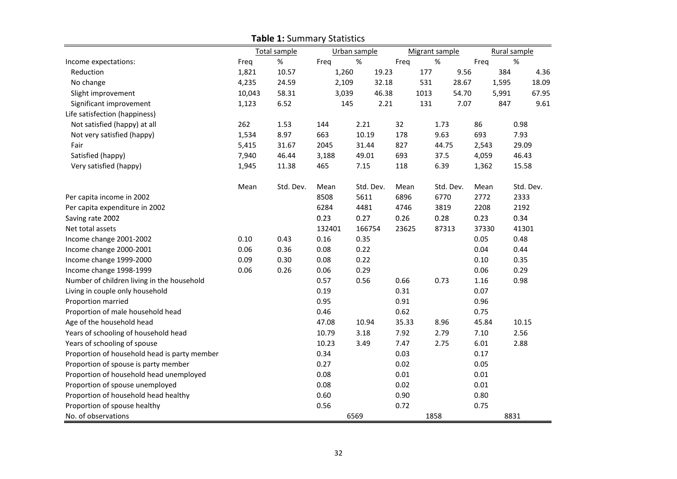|                                              |        | Total sample |        | Urban sample |       | Migrant sample |       |       | Rural sample |
|----------------------------------------------|--------|--------------|--------|--------------|-------|----------------|-------|-------|--------------|
| Income expectations:                         | Freq   | $\%$         | Freq   | $\%$         | Freq  | $\%$           | Freq  |       | $\%$         |
| Reduction                                    | 1,821  | 10.57        | 1,260  | 19.23        |       | 177            | 9.56  | 384   | 4.36         |
| No change                                    | 4,235  | 24.59        | 2,109  | 32.18        |       | 531            | 28.67 | 1,595 | 18.09        |
| Slight improvement                           | 10,043 | 58.31        | 3,039  | 46.38        |       | 1013           | 54.70 | 5,991 | 67.95        |
| Significant improvement                      | 1,123  | 6.52         | 145    | 2.21         |       | 131            | 7.07  | 847   | 9.61         |
| Life satisfection (happiness)                |        |              |        |              |       |                |       |       |              |
| Not satisfied (happy) at all                 | 262    | 1.53         | 144    | 2.21         | 32    | 1.73           | 86    |       | 0.98         |
| Not very satisfied (happy)                   | 1,534  | 8.97         | 663    | 10.19        | 178   | 9.63           | 693   |       | 7.93         |
| Fair                                         | 5,415  | 31.67        | 2045   | 31.44        | 827   | 44.75          | 2,543 |       | 29.09        |
| Satisfied (happy)                            | 7,940  | 46.44        | 3,188  | 49.01        | 693   | 37.5           | 4,059 |       | 46.43        |
| Very satisfied (happy)                       | 1,945  | 11.38        | 465    | 7.15         | 118   | 6.39           | 1,362 |       | 15.58        |
|                                              | Mean   | Std. Dev.    | Mean   | Std. Dev.    | Mean  | Std. Dev.      | Mean  |       | Std. Dev.    |
| Per capita income in 2002                    |        |              | 8508   | 5611         | 6896  | 6770           | 2772  |       | 2333         |
| Per capita expenditure in 2002               |        |              | 6284   | 4481         | 4746  | 3819           | 2208  |       | 2192         |
| Saving rate 2002                             |        |              | 0.23   | 0.27         | 0.26  | 0.28           | 0.23  |       | 0.34         |
| Net total assets                             |        |              | 132401 | 166754       | 23625 | 87313          | 37330 |       | 41301        |
| Income change 2001-2002                      | 0.10   | 0.43         | 0.16   | 0.35         |       |                | 0.05  |       | 0.48         |
| Income change 2000-2001                      | 0.06   | 0.36         | 0.08   | 0.22         |       |                | 0.04  |       | 0.44         |
| Income change 1999-2000                      | 0.09   | 0.30         | 0.08   | 0.22         |       |                | 0.10  |       | 0.35         |
| Income change 1998-1999                      | 0.06   | 0.26         | 0.06   | 0.29         |       |                | 0.06  |       | 0.29         |
| Number of children living in the household   |        |              | 0.57   | 0.56         | 0.66  | 0.73           | 1.16  |       | 0.98         |
| Living in couple only household              |        |              | 0.19   |              | 0.31  |                | 0.07  |       |              |
| Proportion married                           |        |              | 0.95   |              | 0.91  |                | 0.96  |       |              |
| Proportion of male household head            |        |              | 0.46   |              | 0.62  |                | 0.75  |       |              |
| Age of the household head                    |        |              | 47.08  | 10.94        | 35.33 | 8.96           | 45.84 |       | 10.15        |
| Years of schooling of household head         |        |              | 10.79  | 3.18         | 7.92  | 2.79           | 7.10  |       | 2.56         |
| Years of schooling of spouse                 |        |              | 10.23  | 3.49         | 7.47  | 2.75           | 6.01  |       | 2.88         |
| Proportion of household head is party member |        |              | 0.34   |              | 0.03  |                | 0.17  |       |              |
| Proportion of spouse is party member         |        |              | 0.27   |              | 0.02  |                | 0.05  |       |              |
| Proportion of household head unemployed      |        |              | 0.08   |              | 0.01  |                | 0.01  |       |              |
| Proportion of spouse unemployed              |        |              | 0.08   |              | 0.02  |                | 0.01  |       |              |
| Proportion of household head healthy         |        |              | 0.60   |              | 0.90  |                | 0.80  |       |              |
| Proportion of spouse healthy                 |        |              | 0.56   |              | 0.72  |                | 0.75  |       |              |
| No. of observations                          |        |              |        | 6569         |       | 1858           |       |       | 8831         |

**Table 1:** Summary Statistics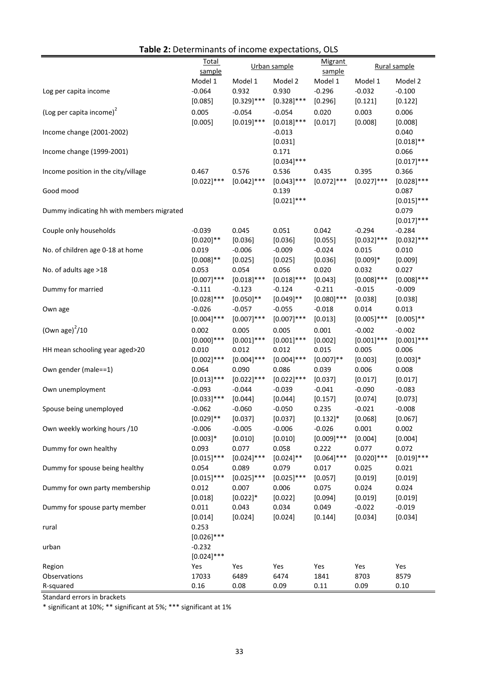|                                           | <b>Total</b><br>sample |               | Urban sample  |               | <b>Migrant</b><br>Rural sample<br>sample |                |
|-------------------------------------------|------------------------|---------------|---------------|---------------|------------------------------------------|----------------|
|                                           | Model 1                | Model 1       | Model 2       | Model 1       | Model 1                                  | Model 2        |
| Log per capita income                     | $-0.064$               | 0.932         | 0.930         | $-0.296$      | $-0.032$                                 | $-0.100$       |
|                                           | [0.085]                | $[0.329]$ *** | $[0.328]$ *** | [0.296]       | [0.121]                                  | [0.122]        |
| (Log per capita income) <sup>2</sup>      | 0.005                  | $-0.054$      | $-0.054$      | 0.020         | 0.003                                    | 0.006          |
|                                           | [0.005]                | $[0.019]$ *** | $[0.018]$ *** | [0.017]       | [0.008]                                  | [0.008]        |
| Income change (2001-2002)                 |                        |               | $-0.013$      |               |                                          | 0.040          |
|                                           |                        |               | [0.031]       |               |                                          | $[0.018]^{**}$ |
| Income change (1999-2001)                 |                        |               | 0.171         |               |                                          | 0.066          |
|                                           |                        |               | $[0.034]$ *** |               |                                          | $[0.017]$ ***  |
| Income position in the city/village       | 0.467                  | 0.576         | 0.536         | 0.435         | 0.395                                    | 0.366          |
|                                           | $[0.022]$ ***          | $[0.042]$ *** | $[0.043]$ *** | $[0.072]$ *** | $[0.027]$ ***                            | $[0.028]$ ***  |
| Good mood                                 |                        |               | 0.139         |               |                                          | 0.087          |
|                                           |                        |               | $[0.021]$ *** |               |                                          | $[0.015]$ ***  |
| Dummy indicating hh with members migrated |                        |               |               |               |                                          | 0.079          |
|                                           |                        |               |               |               |                                          | $[0.017]$ ***  |
| Couple only households                    | $-0.039$               | 0.045         | 0.051         | 0.042         | $-0.294$                                 | $-0.284$       |
|                                           | $[0.020]$ **           | [0.036]       | [0.036]       | [0.055]       | $[0.032]$ ***                            | $[0.032]$ ***  |
| No. of children age 0-18 at home          | 0.019                  | $-0.006$      | $-0.009$      | $-0.024$      | 0.015                                    | 0.010          |
|                                           | $[0.008]**$            | [0.025]       | [0.025]       | [0.036]       | $[0.009]*$                               | [0.009]        |
| No. of adults age >18                     | 0.053                  | 0.054         | 0.056         | 0.020         | 0.032                                    | 0.027          |
|                                           | $[0.007]$ ***          | $[0.018]$ *** | $[0.018]$ *** | [0.043]       | $[0.008]$ ***                            | $[0.008]$ ***  |
| Dummy for married                         | $-0.111$               | $-0.123$      | $-0.124$      | $-0.211$      | $-0.015$                                 | $-0.009$       |
|                                           | $[0.028]$ ***          | $[0.050]$ **  | $[0.049]$ **  | $[0.080]$ *** | [0.038]                                  | [0.038]        |
| Own age                                   | $-0.026$               | $-0.057$      | $-0.055$      | $-0.018$      | 0.014                                    | 0.013          |
|                                           | $[0.004]$ ***          | $[0.007]$ *** | $[0.007]$ *** | [0.013]       | $[0.005]$ ***                            | $[0.005]$ **   |
| (Own age) $^{2}/10$                       | 0.002                  | 0.005         | 0.005         | 0.001         | $-0.002$                                 | $-0.002$       |
|                                           | $[0.000]$ ***          | $[0.001]$ *** | $[0.001]$ *** | [0.002]       | $[0.001]$ ***                            | $[0.001]$ ***  |
| HH mean schooling year aged>20            | 0.010                  | 0.012         | 0.012         | 0.015         | 0.005                                    | 0.006          |
|                                           | $[0.002]$ ***          | $[0.004]$ *** | $[0.004]$ *** | $[0.007]$ **  | [0.003]                                  | $[0.003]*$     |
| Own gender (male==1)                      | 0.064                  | 0.090         | 0.086         | 0.039         | 0.006                                    | 0.008          |
|                                           | $[0.013]$ ***          | $[0.022]$ *** | $[0.022]$ *** | [0.037]       | [0.017]                                  | [0.017]        |
| Own unemployment                          | $-0.093$               | $-0.044$      | $-0.039$      | $-0.041$      | $-0.090$                                 | $-0.083$       |
|                                           | $[0.033]$ ***          | [0.044]       | [0.044]       | [0.157]       | [0.074]                                  | [0.073]        |
| Spouse being unemployed                   | $-0.062$               | $-0.060$      | $-0.050$      | 0.235         | $-0.021$                                 | $-0.008$       |
|                                           | $[0.029]$ **           | [0.037]       | [0.037]       | $[0.132]$ *   | [0.068]                                  | [0.067]        |
| Own weekly working hours /10              | $-0.006$               | $-0.005$      | $-0.006$      | $-0.026$      | 0.001                                    | 0.002          |
|                                           | $[0.003]*$             | [0.010]       | [0.010]       | $[0.009]$ *** | [0.004]                                  | [0.004]        |
| Dummy for own healthy                     | 0.093                  | 0.077         | 0.058         | 0.222         | 0.077                                    | 0.072          |
|                                           | $[0.015]$ ***          | $[0.024]$ *** | $[0.024]$ **  | $[0.064]$ *** | $[0.020]$ ***                            | $[0.019]$ ***  |
| Dummy for spouse being healthy            | 0.054                  | 0.089         | 0.079         | 0.017         | 0.025                                    | 0.021          |
|                                           | $[0.015]$ ***          | $[0.025]$ *** | $[0.025]$ *** | [0.057]       | [0.019]                                  | [0.019]        |
| Dummy for own party membership            | 0.012                  | 0.007         | 0.006         | 0.075         | 0.024                                    | 0.024          |
|                                           | [0.018]                | $[0.022]$ *   | [0.022]       | [0.094]       | [0.019]                                  | [0.019]        |
| Dummy for spouse party member             | 0.011                  | 0.043         | 0.034         | 0.049         | $-0.022$                                 | $-0.019$       |
|                                           | [0.014]                | [0.024]       | [0.024]       | [0.144]       | [0.034]                                  | [0.034]        |
| rural                                     | 0.253                  |               |               |               |                                          |                |
|                                           | $[0.026]$ ***          |               |               |               |                                          |                |
| urban                                     | $-0.232$               |               |               |               |                                          |                |
|                                           | $[0.024]$ ***          |               |               |               |                                          |                |
| Region                                    | Yes                    | Yes           | Yes           | Yes           | Yes                                      | Yes            |
| Observations                              | 17033                  | 6489          | 6474          | 1841          | 8703                                     | 8579           |
| R-squared                                 | 0.16                   | 0.08          | 0.09          | 0.11          | 0.09                                     | 0.10           |

### **Table 2:** Determinants of income expectations, OLS

Standard errors in brackets

\* significant at 10%; \*\* significant at 5%; \*\*\* significant at 1%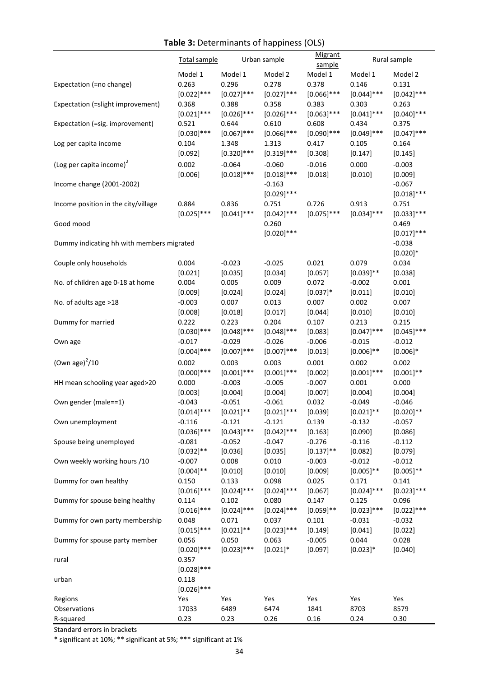### **Table 3:** Determinants of happiness (OLS)

|                                           | Total sample              |                           | Urban sample              | <b>Migrant</b><br>sample |                           | Rural sample              |
|-------------------------------------------|---------------------------|---------------------------|---------------------------|--------------------------|---------------------------|---------------------------|
|                                           | Model 1                   | Model 1                   | Model 2                   | Model 1                  | Model 1                   | Model 2                   |
| Expectation (=no change)                  | 0.263                     | 0.296                     | 0.278                     | 0.378                    | 0.146                     | 0.131                     |
|                                           | $[0.022]$ ***             | $[0.027]$ ***             | $[0.027]$ ***             | $[0.066]$ ***            | $[0.044]$ ***             | $[0.042]$ ***             |
| Expectation (=slight improvement)         | 0.368                     | 0.388                     | 0.358                     | 0.383                    | 0.303                     | 0.263                     |
|                                           | $[0.021]$ ***             | $[0.026]$ ***             | $[0.026]$ ***             | $[0.063]$ ***            | $[0.041]$ ***             | $[0.040]$ ***             |
| Expectation (=sig. improvement)           | 0.521                     | 0.644                     | 0.610                     | 0.608                    | 0.434                     | 0.375                     |
|                                           | $[0.030]$ ***             | $[0.067]$ ***             | $[0.066]$ ***             | $[0.090]$ ***            | $[0.049]$ ***             | $[0.047]$ ***             |
| Log per capita income                     | 0.104                     | 1.348                     | 1.313                     | 0.417                    | 0.105                     | 0.164                     |
|                                           | [0.092]                   | $[0.320]$ ***             | $[0.319]$ ***             | [0.308]                  | [0.147]                   | [0.145]                   |
| (Log per capita income) <sup>2</sup>      | 0.002                     | $-0.064$                  | $-0.060$                  | $-0.016$                 | 0.000                     | $-0.003$                  |
|                                           | [0.006]                   | $[0.018]$ ***             | $[0.018]$ ***             | [0.018]                  | [0.010]                   | [0.009]                   |
| Income change (2001-2002)                 |                           |                           | $-0.163$                  |                          |                           | $-0.067$                  |
|                                           |                           |                           | $[0.029]$ ***             |                          |                           | $[0.018]$ ***             |
| Income position in the city/village       | 0.884                     | 0.836                     | 0.751                     | 0.726                    | 0.913                     | 0.751                     |
|                                           | $[0.025]$ ***             | $[0.041]$ ***             | $[0.042]$ ***             | $[0.075]$ ***            | $[0.034]$ ***             | $[0.033]$ ***             |
| Good mood                                 |                           |                           | 0.260                     |                          |                           | 0.469                     |
|                                           |                           |                           | $[0.020]$ ***             |                          |                           | $[0.017]$ ***             |
| Dummy indicating hh with members migrated |                           |                           |                           |                          |                           | $-0.038$                  |
|                                           |                           |                           |                           |                          |                           | $[0.020]*$                |
| Couple only households                    | 0.004                     | $-0.023$                  | $-0.025$                  | 0.021                    | 0.079                     | 0.034                     |
|                                           | [0.021]                   | [0.035]                   | [0.034]                   | [0.057]                  | $[0.039]$ **              | [0.038]                   |
| No. of children age 0-18 at home          | 0.004                     | 0.005                     | 0.009                     | 0.072                    | $-0.002$                  | 0.001                     |
|                                           | [0.009]                   | [0.024]                   | [0.024]                   | $[0.037]$ *              | [0.011]                   | [0.010]                   |
| No. of adults age >18                     | $-0.003$                  | 0.007                     | 0.013                     | 0.007                    | 0.002                     | 0.007                     |
|                                           | [0.008]                   | [0.018]                   | [0.017]                   | [0.044]                  | [0.010]                   | [0.010]                   |
| Dummy for married                         | 0.222                     | 0.223                     | 0.204                     | 0.107                    | 0.213                     | 0.215                     |
|                                           | $[0.030]$ ***<br>$-0.017$ | $[0.048]$ ***<br>$-0.029$ | $[0.048]$ ***<br>$-0.026$ | [0.083]<br>$-0.006$      | $[0.047]$ ***<br>$-0.015$ | $[0.045]$ ***<br>$-0.012$ |
| Own age                                   | $[0.004]$ ***             | $[0.007]$ ***             | $[0.007]$ ***             | [0.013]                  | $[0.006]$ **              | $[0.006]*$                |
| (Own age) $^{2}/10$                       |                           |                           |                           |                          | 0.002                     |                           |
|                                           | 0.002<br>$[0.000]$ ***    | 0.003<br>$[0.001]$ ***    | 0.003<br>$[0.001]$ ***    | 0.001<br>[0.002]         | $[0.001]$ ***             | 0.002<br>$[0.001]$ **     |
| HH mean schooling year aged>20            | 0.000                     | $-0.003$                  | $-0.005$                  | $-0.007$                 | 0.001                     | 0.000                     |
|                                           | [0.003]                   | [0.004]                   | [0.004]                   | [0.007]                  | [0.004]                   | [0.004]                   |
| Own gender (male==1)                      | $-0.043$                  | $-0.051$                  | $-0.061$                  | 0.032                    | $-0.049$                  | $-0.046$                  |
|                                           | $[0.014]$ ***             | $[0.021]$ **              | $[0.021]$ ***             | [0.039]                  | $[0.021]$ **              | $[0.020]$ **              |
| Own unemployment                          | $-0.116$                  | $-0.121$                  | $-0.121$                  | 0.139                    | $-0.132$                  | $-0.057$                  |
|                                           | $[0.036]$ ***             | $[0.043]$ ***             | $[0.042]$ ***             | [0.163]                  | [0.090]                   | [0.086]                   |
| Spouse being unemployed                   | $-0.081$                  | $-0.052$                  | $-0.047$                  | $-0.276$                 | $-0.116$                  | $-0.112$                  |
|                                           | $[0.032]$ **              | [0.036]                   | [0.035]                   | $[0.137]$ **             | [0.082]                   | [0.079]                   |
| Own weekly working hours /10              | $-0.007$                  | 0.008                     | 0.010                     | $-0.003$                 | $-0.012$                  | $-0.012$                  |
|                                           | $[0.004]$ **              | [0.010]                   | [0.010]                   | [0.009]                  | $[0.005]$ **              | $[0.005]$ **              |
| Dummy for own healthy                     | 0.150                     | 0.133                     | 0.098                     | 0.025                    | 0.171                     | 0.141                     |
|                                           | $[0.016]$ ***             | $[0.024]$ ***             | $[0.024]$ ***             | [0.067]                  | $[0.024]$ ***             | $[0.023]$ ***             |
| Dummy for spouse being healthy            | 0.114                     | 0.102                     | 0.080                     | 0.147                    | 0.125                     | 0.096                     |
|                                           | $[0.016]$ ***             | $[0.024]$ ***             | $[0.024]$ ***             | $[0.059]$ **             | $[0.023]$ ***             | $[0.022]$ ***             |
| Dummy for own party membership            | 0.048                     | 0.071                     | 0.037                     | 0.101                    | $-0.031$                  | $-0.032$                  |
|                                           | $[0.015]$ ***             | $[0.021]$ **              | $[0.023]$ ***             | [0.149]                  | [0.041]                   | [0.022]                   |
| Dummy for spouse party member             | 0.056                     | 0.050                     | 0.063                     | $-0.005$                 | 0.044                     | 0.028                     |
|                                           | $[0.020]$ ***             | $[0.023]$ ***             | $[0.021]$ *               | [0.097]                  | $[0.023]$ *               | [0.040]                   |
| rural                                     | 0.357<br>$[0.028]$ ***    |                           |                           |                          |                           |                           |
| urban                                     | 0.118                     |                           |                           |                          |                           |                           |
|                                           | $[0.026]$ ***             |                           |                           |                          |                           |                           |
| Regions                                   | Yes                       | Yes                       | Yes                       | Yes                      | Yes                       | Yes                       |
| Observations                              | 17033                     | 6489                      | 6474                      | 1841                     | 8703                      | 8579                      |
| R-squared                                 | 0.23                      | 0.23                      | 0.26                      | 0.16                     | 0.24                      | 0.30                      |
|                                           |                           |                           |                           |                          |                           |                           |

Standard errors in brackets

\* significant at 10%; \*\* significant at 5%; \*\*\* significant at 1%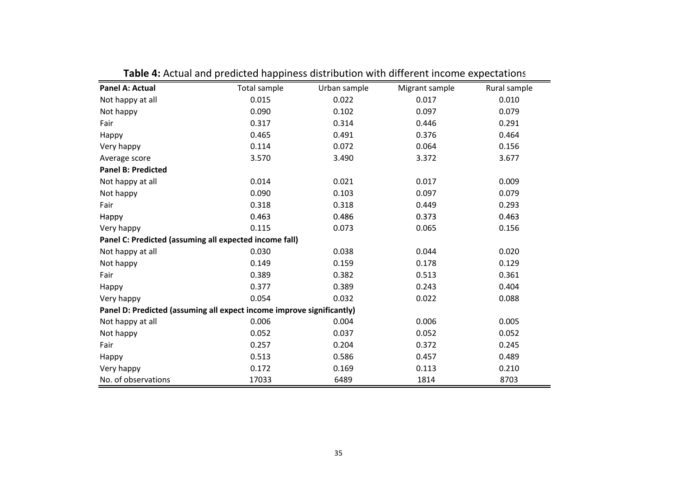|                                                                       |                     | e in recedit and predicted impositios also is additional anterent income expectati |                |              |
|-----------------------------------------------------------------------|---------------------|------------------------------------------------------------------------------------|----------------|--------------|
| Panel A: Actual                                                       | <b>Total sample</b> | Urban sample                                                                       | Migrant sample | Rural sample |
| Not happy at all                                                      | 0.015               | 0.022                                                                              | 0.017          | 0.010        |
| Not happy                                                             | 0.090               | 0.102                                                                              | 0.097          | 0.079        |
| Fair                                                                  | 0.317               | 0.314                                                                              | 0.446          | 0.291        |
| Happy                                                                 | 0.465               | 0.491                                                                              | 0.376          | 0.464        |
| Very happy                                                            | 0.114               | 0.072                                                                              | 0.064          | 0.156        |
| Average score                                                         | 3.570               | 3.490                                                                              | 3.372          | 3.677        |
| <b>Panel B: Predicted</b>                                             |                     |                                                                                    |                |              |
| Not happy at all                                                      | 0.014               | 0.021                                                                              | 0.017          | 0.009        |
| Not happy                                                             | 0.090               | 0.103                                                                              | 0.097          | 0.079        |
| Fair                                                                  | 0.318               | 0.318                                                                              | 0.449          | 0.293        |
| Happy                                                                 | 0.463               | 0.486                                                                              | 0.373          | 0.463        |
| Very happy                                                            | 0.115               | 0.073                                                                              | 0.065          | 0.156        |
| Panel C: Predicted (assuming all expected income fall)                |                     |                                                                                    |                |              |
| Not happy at all                                                      | 0.030               | 0.038                                                                              | 0.044          | 0.020        |
| Not happy                                                             | 0.149               | 0.159                                                                              | 0.178          | 0.129        |
| Fair                                                                  | 0.389               | 0.382                                                                              | 0.513          | 0.361        |
| Happy                                                                 | 0.377               | 0.389                                                                              | 0.243          | 0.404        |
| Very happy                                                            | 0.054               | 0.032                                                                              | 0.022          | 0.088        |
| Panel D: Predicted (assuming all expect income improve significantly) |                     |                                                                                    |                |              |
| Not happy at all                                                      | 0.006               | 0.004                                                                              | 0.006          | 0.005        |
| Not happy                                                             | 0.052               | 0.037                                                                              | 0.052          | 0.052        |
| Fair                                                                  | 0.257               | 0.204                                                                              | 0.372          | 0.245        |
| Happy                                                                 | 0.513               | 0.586                                                                              | 0.457          | 0.489        |
| Very happy                                                            | 0.172               | 0.169                                                                              | 0.113          | 0.210        |
| No. of observations                                                   | 17033               | 6489                                                                               | 1814           | 8703         |

**Table 4:** Actual and predicted happiness distribution with different income expectations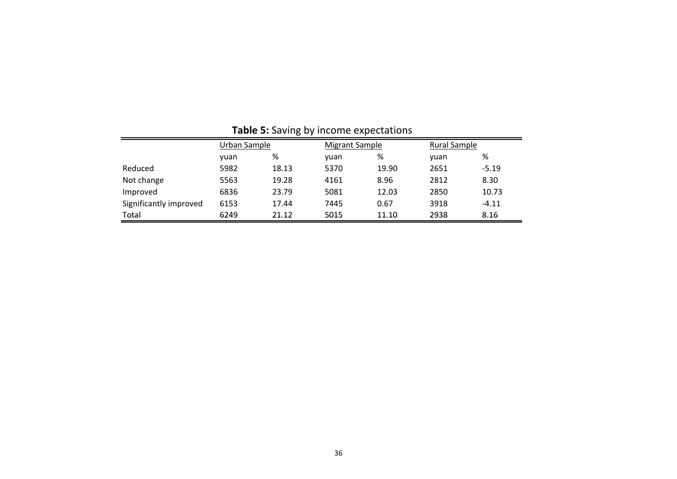|                        | $\frac{1}{2}$ |       |                       |       |                     |         |  |  |
|------------------------|---------------|-------|-----------------------|-------|---------------------|---------|--|--|
|                        | Urban Sample  |       | <b>Migrant Sample</b> |       | <b>Rural Sample</b> |         |  |  |
|                        | vuan          | %     | vuan                  | %     | yuan                | %       |  |  |
| Reduced                | 5982          | 18.13 | 5370                  | 19.90 | 2651                | $-5.19$ |  |  |
| Not change             | 5563          | 19.28 | 4161                  | 8.96  | 2812                | 8.30    |  |  |
| Improved               | 6836          | 23.79 | 5081                  | 12.03 | 2850                | 10.73   |  |  |
| Significantly improved | 6153          | 17.44 | 7445                  | 0.67  | 3918                | $-4.11$ |  |  |
| Total                  | 6249          | 21.12 | 5015                  | 11.10 | 2938                | 8.16    |  |  |

**Table 5:** Saving by income expectations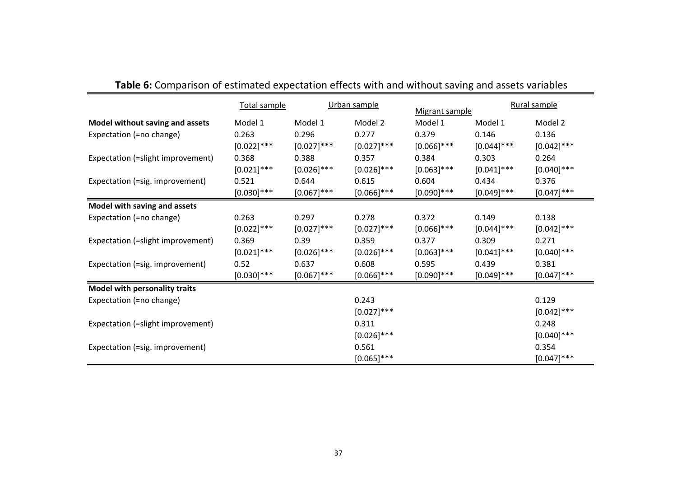|                                   | Total sample  | Urban sample  |               | Migrant sample |               | Rural sample  |
|-----------------------------------|---------------|---------------|---------------|----------------|---------------|---------------|
| Model without saving and assets   | Model 1       | Model 1       | Model 2       | Model 1        | Model 1       | Model 2       |
| Expectation (=no change)          | 0.263         | 0.296         | 0.277         | 0.379          | 0.146         | 0.136         |
|                                   | $[0.022]$ *** | $[0.027]$ *** | $[0.027]$ *** | $[0.066]$ ***  | $[0.044]$ *** | $[0.042]$ *** |
| Expectation (=slight improvement) | 0.368         | 0.388         | 0.357         | 0.384          | 0.303         | 0.264         |
|                                   | $[0.021]$ *** | $[0.026]$ *** | $[0.026]$ *** | $[0.063]$ ***  | $[0.041]$ *** | $[0.040]$ *** |
| Expectation (=sig. improvement)   | 0.521         | 0.644         | 0.615         | 0.604          | 0.434         | 0.376         |
|                                   | $[0.030]$ *** | $[0.067]$ *** | $[0.066]$ *** | $[0.090]$ ***  | $[0.049]$ *** | $[0.047]$ *** |
| Model with saving and assets      |               |               |               |                |               |               |
| Expectation (=no change)          | 0.263         | 0.297         | 0.278         | 0.372          | 0.149         | 0.138         |
|                                   | $[0.022]$ *** | $[0.027]$ *** | $[0.027]$ *** | $[0.066]$ ***  | $[0.044]$ *** | $[0.042]$ *** |
| Expectation (=slight improvement) | 0.369         | 0.39          | 0.359         | 0.377          | 0.309         | 0.271         |
|                                   | $[0.021]$ *** | $[0.026]$ *** | $[0.026]$ *** | $[0.063]$ ***  | $[0.041]$ *** | $[0.040]$ *** |
| Expectation (=sig. improvement)   | 0.52          | 0.637         | 0.608         | 0.595          | 0.439         | 0.381         |
|                                   | $[0.030]$ *** | $[0.067]$ *** | $[0.066]$ *** | $[0.090]$ ***  | $[0.049]$ *** | $[0.047]$ *** |
| Model with personality traits     |               |               |               |                |               |               |
| Expectation (=no change)          |               |               | 0.243         |                |               | 0.129         |
|                                   |               |               | $[0.027]$ *** |                |               | $[0.042]$ *** |
| Expectation (=slight improvement) |               |               | 0.311         |                |               | 0.248         |
|                                   |               |               | $[0.026]$ *** |                |               | $[0.040]$ *** |
| Expectation (=sig. improvement)   |               |               | 0.561         |                |               | 0.354         |
|                                   |               |               | $[0.065]$ *** |                |               | $[0.047]$ *** |

#### **Table 6:** Comparison of estimated expectation effects with and without saving and assets variables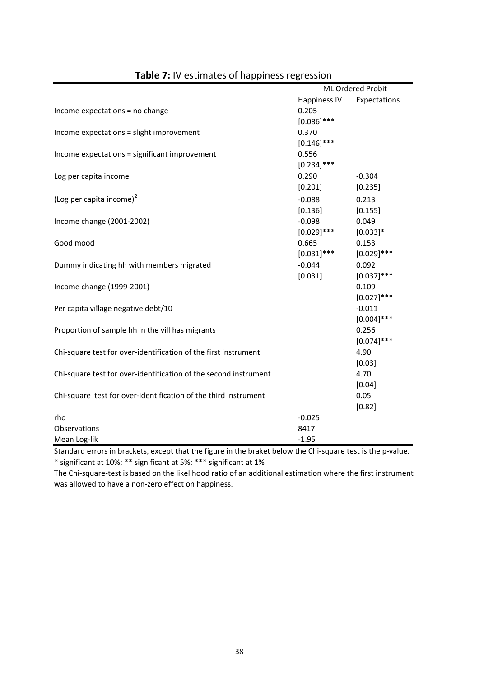|                                                                  | <b>ML Ordered Probit</b> |               |  |
|------------------------------------------------------------------|--------------------------|---------------|--|
|                                                                  | Happiness IV             | Expectations  |  |
| Income expectations = no change                                  | 0.205                    |               |  |
|                                                                  | $[0.086]$ ***            |               |  |
| Income expectations = slight improvement                         | 0.370                    |               |  |
|                                                                  | $[0.146]$ ***            |               |  |
| Income expectations = significant improvement                    | 0.556                    |               |  |
|                                                                  | $[0.234]$ ***            |               |  |
| Log per capita income                                            | 0.290                    | $-0.304$      |  |
|                                                                  | [0.201]                  | [0.235]       |  |
| (Log per capita income) <sup>2</sup>                             | $-0.088$                 | 0.213         |  |
|                                                                  | [0.136]                  | [0.155]       |  |
| Income change (2001-2002)                                        | $-0.098$                 | 0.049         |  |
|                                                                  | $[0.029]$ ***            | $[0.033]$ *   |  |
| Good mood                                                        | 0.665                    | 0.153         |  |
|                                                                  | $[0.031]$ ***            | $[0.029]$ *** |  |
| Dummy indicating hh with members migrated                        | $-0.044$                 | 0.092         |  |
|                                                                  | [0.031]                  | $[0.037]$ *** |  |
| Income change (1999-2001)                                        |                          | 0.109         |  |
|                                                                  |                          | $[0.027]$ *** |  |
| Per capita village negative debt/10                              |                          | $-0.011$      |  |
|                                                                  |                          | $[0.004]$ *** |  |
| Proportion of sample hh in the vill has migrants                 |                          | 0.256         |  |
|                                                                  |                          | $[0.074]$ *** |  |
| Chi-square test for over-identification of the first instrument  |                          | 4.90          |  |
|                                                                  |                          | [0.03]        |  |
| Chi-square test for over-identification of the second instrument |                          | 4.70          |  |
|                                                                  |                          | [0.04]        |  |
| Chi-square test for over-identification of the third instrument  |                          | 0.05          |  |
|                                                                  |                          | [0.82]        |  |
| rho                                                              | $-0.025$                 |               |  |
| Observations                                                     | 8417                     |               |  |
| Mean Log-lik                                                     | $-1.95$                  |               |  |

### **Table 7:** IV estimates of happiness regression

Standard errors in brackets, except that the figure in the braket below the Chi-square test is the p-value. \* significant at 10%; \*\* significant at 5%; \*\*\* significant at 1%

The Chi-square-test is based on the likelihood ratio of an additional estimation where the first instrument was allowed to have a non-zero effect on happiness.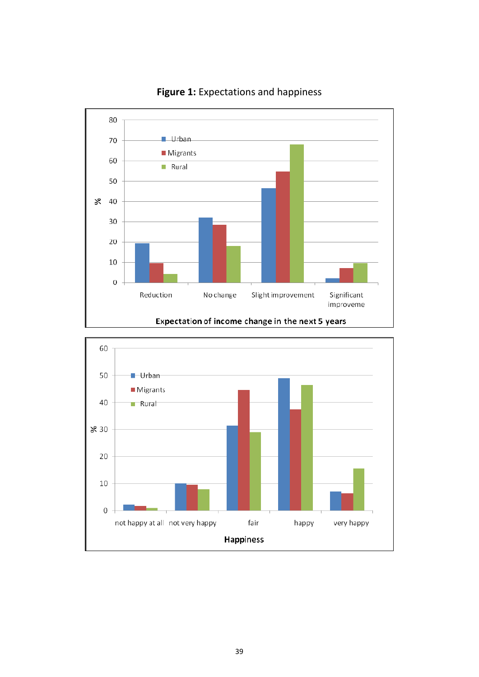

**Figure 1:** Expectations and happiness

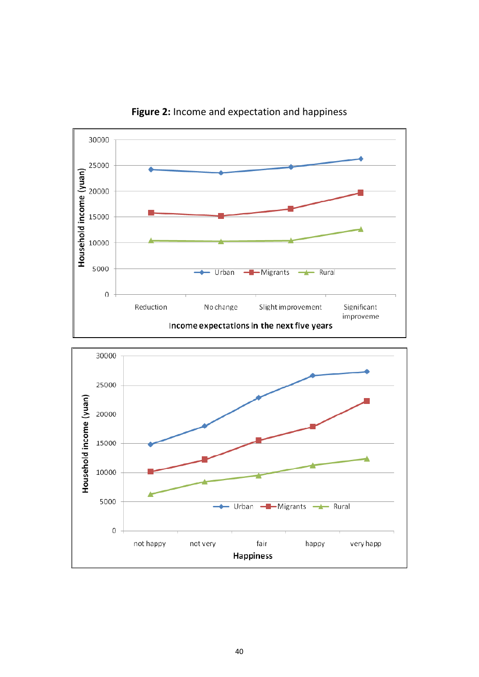

**Figure 2:** Income and expectation and happiness

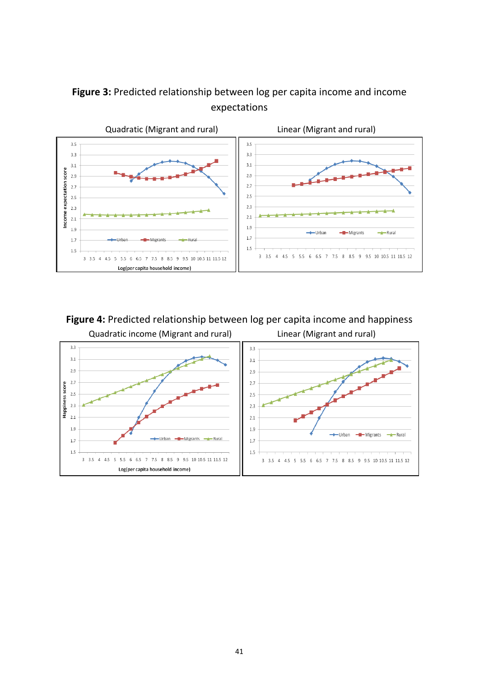## **Figure 3:** Predicted relationship between log per capita income and income expectations



## **Figure 4:** Predicted relationship between log per capita income and happiness

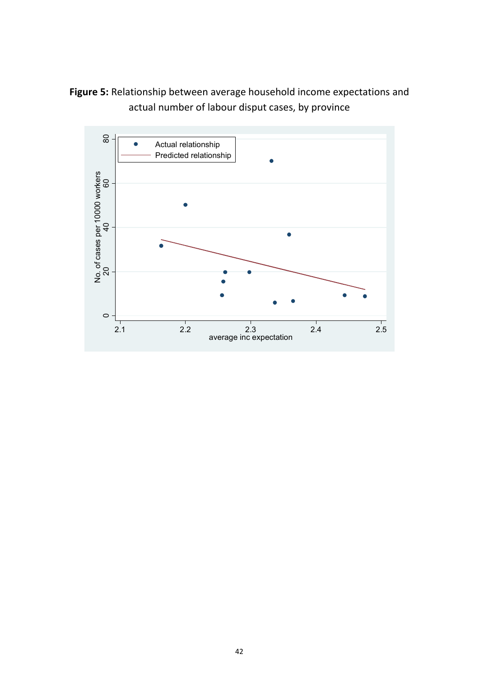**Figure 5:** Relationship between average household income expectations and actual number of labour disput cases, by province

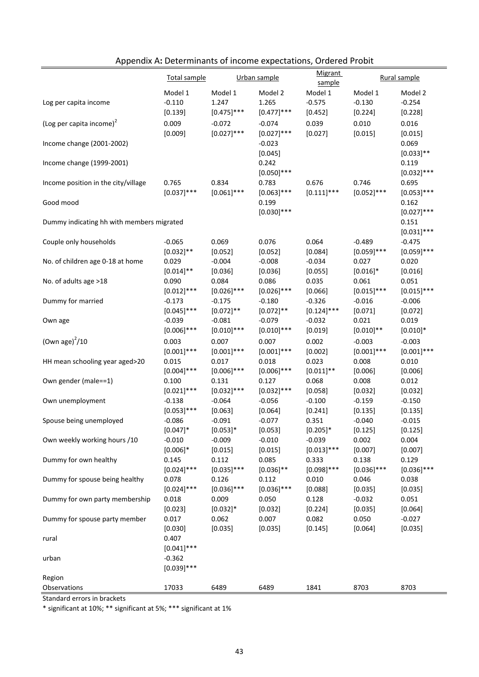|                                           | Total sample              |               | Urban sample  | <b>Migrant</b><br>sample |               | Rural sample  |
|-------------------------------------------|---------------------------|---------------|---------------|--------------------------|---------------|---------------|
|                                           | Model 1                   | Model 1       | Model 2       | Model 1                  | Model 1       | Model 2       |
| Log per capita income                     | $-0.110$                  | 1.247         | 1.265         | $-0.575$                 | $-0.130$      | $-0.254$      |
|                                           | [0.139]                   | $[0.475]$ *** | $[0.477]$ *** | [0.452]                  | [0.224]       | [0.228]       |
| (Log per capita income) <sup>2</sup>      | 0.009                     | $-0.072$      | $-0.074$      | 0.039                    | 0.010         | 0.016         |
|                                           | [0.009]                   | $[0.027]$ *** | $[0.027]$ *** | [0.027]                  | [0.015]       | [0.015]       |
| Income change (2001-2002)                 |                           |               | $-0.023$      |                          |               | 0.069         |
|                                           |                           |               | [0.045]       |                          |               | $[0.033]$ **  |
| Income change (1999-2001)                 |                           |               | 0.242         |                          |               | 0.119         |
|                                           |                           |               | $[0.050]$ *** |                          |               | $[0.032]$ *** |
| Income position in the city/village       | 0.765                     | 0.834         | 0.783         | 0.676                    | 0.746         | 0.695         |
|                                           | $[0.037]$ ***             | $[0.061]$ *** | $[0.063]$ *** | $[0.111]$ ***            | $[0.052]$ *** | $[0.053]$ *** |
| Good mood                                 |                           |               | 0.199         |                          |               | 0.162         |
|                                           |                           |               | $[0.030]$ *** |                          |               | $[0.027]$ *** |
| Dummy indicating hh with members migrated |                           |               |               |                          |               | 0.151         |
|                                           |                           |               |               |                          |               | $[0.031]$ *** |
| Couple only households                    | $-0.065$                  | 0.069         | 0.076         | 0.064                    | $-0.489$      | $-0.475$      |
|                                           | $[0.032]$ **              | [0.052]       | [0.052]       | [0.084]                  | $[0.059]$ *** | $[0.059]$ *** |
| No. of children age 0-18 at home          | 0.029                     | $-0.004$      | $-0.008$      | $-0.034$                 | 0.027         | 0.020         |
|                                           | $[0.014]$ **              | [0.036]       | [0.036]       | [0.055]                  | $[0.016]*$    | [0.016]       |
| No. of adults age >18                     | 0.090                     | 0.084         | 0.086         | 0.035                    | 0.061         | 0.051         |
|                                           | $[0.012]$ ***             | $[0.026]$ *** | $[0.026]$ *** | [0.066]                  | $[0.015]$ *** | $[0.015]$ *** |
| Dummy for married                         | $-0.173$                  | $-0.175$      | $-0.180$      | $-0.326$                 | $-0.016$      | $-0.006$      |
|                                           | $[0.045]$ ***             | $[0.072]$ **  | $[0.072]$ **  | $[0.124]$ ***            | [0.071]       | [0.072]       |
| Own age                                   | $-0.039$                  | $-0.081$      | $-0.079$      | $-0.032$                 | 0.021         | 0.019         |
|                                           | $[0.006]$ ***             | $[0.010]$ *** | $[0.010]$ *** | [0.019]                  | $[0.010]$ **  | $[0.010]*$    |
| (Own age) $^{2}/10$                       | 0.003                     | 0.007         | 0.007         | 0.002                    | $-0.003$      | $-0.003$      |
|                                           | $[0.001]$ ***             | $[0.001]$ *** | $[0.001]$ *** | [0.002]                  | $[0.001]$ *** | $[0.001]$ *** |
| HH mean schooling year aged>20            | 0.015                     | 0.017         | 0.018         | 0.023                    | 0.008         | 0.010         |
|                                           | $[0.004]$ ***             | $[0.006]$ *** | $[0.006]$ *** | $[0.011]$ **             | [0.006]       | [0.006]       |
| Own gender (male==1)                      | 0.100                     | 0.131         | 0.127         | 0.068                    | 0.008         | 0.012         |
|                                           | $[0.021]$ ***             | $[0.032]$ *** | $[0.032]$ *** | [0.058]                  | [0.032]       | [0.032]       |
| Own unemployment                          | $-0.138$                  | $-0.064$      | $-0.056$      | $-0.100$                 | $-0.159$      | $-0.150$      |
|                                           | $[0.053]$ ***             | [0.063]       | [0.064]       | [0.241]                  | [0.135]       | [0.135]       |
| Spouse being unemployed                   | $-0.086$                  | $-0.091$      | $-0.077$      | 0.351                    | $-0.040$      | $-0.015$      |
|                                           | $[0.047]$ *               | $[0.053]*$    | [0.053]       | $[0.205]$ *              | [0.125]       | [0.125]       |
| Own weekly working hours /10              | $-0.010$                  | $-0.009$      | $-0.010$      | $-0.039$                 | 0.002         | 0.004         |
|                                           | $[0.006]*$                | [0.015]       | [0.015]       | $[0.013]$ ***            | [0.007]       | [0.007]       |
| Dummy for own healthy                     | 0.145                     | 0.112         | 0.085         | 0.333                    | 0.138         | 0.129         |
|                                           | $[0.024]$ ***             | $[0.035]$ *** | $[0.036]$ **  | $[0.098]$ ***            | $[0.036]$ *** | $[0.036]$ *** |
| Dummy for spouse being healthy            | 0.078                     | 0.126         | 0.112         | 0.010                    | 0.046         | 0.038         |
|                                           | $[0.024]$ ***             | $[0.036]$ *** | $[0.036]$ *** | [0.088]                  | [0.035]       | [0.035]       |
| Dummy for own party membership            | 0.018                     | 0.009         | 0.050         | 0.128                    | $-0.032$      | 0.051         |
|                                           | [0.023]                   | $[0.032]*$    | [0.032]       | [0.224]                  | [0.035]       | [0.064]       |
| Dummy for spouse party member             | 0.017                     | 0.062         | 0.007         | 0.082                    | 0.050         | $-0.027$      |
|                                           | [0.030]                   | [0.035]       | [0.035]       | [0.145]                  | [0.064]       | [0.035]       |
| rural                                     | 0.407                     |               |               |                          |               |               |
|                                           | $[0.041]$ ***<br>$-0.362$ |               |               |                          |               |               |
| urban                                     | $[0.039]$ ***             |               |               |                          |               |               |
| Region                                    |                           |               |               |                          |               |               |
| Observations                              | 17033                     | 6489          | 6489          | 1841                     | 8703          | 8703          |
|                                           |                           |               |               |                          |               |               |

Standard errors in brackets

\* significant at 10%; \*\* significant at 5%; \*\*\* significant at 1%